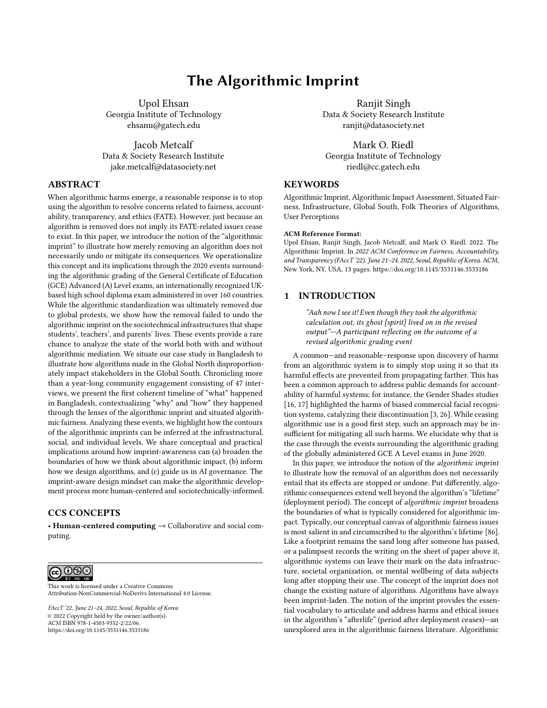# The Algorithmic Imprint

Upol Ehsan Georgia Institute of Technology ehsanu@gatech.edu

Jacob Metcalf Data & Society Research Institute jake.metcalf@datasociety.net

# ABSTRACT

When algorithmic harms emerge, a reasonable response is to stop using the algorithm to resolve concerns related to fairness, accountability, transparency, and ethics (FATE). However, just because an algorithm is removed does not imply its FATE-related issues cease to exist. In this paper, we introduce the notion of the "algorithmic imprint" to illustrate how merely removing an algorithm does not necessarily undo or mitigate its consequences. We operationalize this concept and its implications through the 2020 events surrounding the algorithmic grading of the General Certificate of Education (GCE) Advanced (A) Level exams, an internationally recognized UKbased high school diploma exam administered in over 160 countries. While the algorithmic standardization was ultimately removed due to global protests, we show how the removal failed to undo the algorithmic imprint on the sociotechnical infrastructures that shape students', teachers', and parents' lives. These events provide a rare chance to analyze the state of the world both with and without algorithmic mediation. We situate our case study in Bangladesh to illustrate how algorithms made in the Global North disproportionately impact stakeholders in the Global South. Chronicling more than a year-long community engagement consisting of 47 interviews, we present the first coherent timeline of "what" happened in Bangladesh, contextualizing "why" and "how" they happened through the lenses of the algorithmic imprint and situated algorithmic fairness. Analyzing these events, we highlight how the contours of the algorithmic imprints can be inferred at the infrastructural, social, and individual levels. We share conceptual and practical implications around how imprint-awareness can (a) broaden the boundaries of how we think about algorithmic impact, (b) inform how we design algorithms, and (c) guide us in AI governance. The imprint-aware design mindset can make the algorithmic development process more human-centered and sociotechnically-informed.

# CCS CONCEPTS

• Human-centered computing → Collaborative and social computing.

@ 0®

This work is licensed under a [Creative Commons](https://creativecommons.org/licenses/by-nc-nd/4.0/) [Attribution-NonCommercial-NoDerivs International 4.0 License.](https://creativecommons.org/licenses/by-nc-nd/4.0/)

FAccT '22, June 21–24, 2022, Seoul, Republic of Korea © 2022 Copyright held by the owner/author(s). ACM ISBN 978-1-4503-9352-2/22/06. <https://doi.org/10.1145/3531146.3533186>

Ranjit Singh Data & Society Research Institute ranjit@datasociety.net

Mark O. Riedl Georgia Institute of Technology riedl@cc.gatech.edu

### **KEYWORDS**

Algorithmic Imprint, Algorithmic Impact Assessment, Situated Fairness, Infrastructure, Global South, Folk Theories of Algorithms, User Perceptions

#### ACM Reference Format:

Upol Ehsan, Ranjit Singh, Jacob Metcalf, and Mark O. Riedl. 2022. The Algorithmic Imprint. In 2022 ACM Conference on Fairness, Accountability, and Transparency (FAccT '22), June 21–24, 2022, Seoul, Republic of Korea. ACM, New York, NY, USA, [13](#page-12-0) pages.<https://doi.org/10.1145/3531146.3533186>

# 1 INTRODUCTION

"Aah now I see it! Even though they took the algorithmic calculation out, its ghost [spirit] lived on in the revised output"—A participant reflecting on the outcome of a revised algorithmic grading event

A common—and reasonable–response upon discovery of harms from an algorithmic system is to simply stop using it so that its harmful effects are prevented from propagating farther. This has been a common approach to address public demands for accountability of harmful systems; for instance, the Gender Shades studies [\[16,](#page-10-0) [17\]](#page-10-1) highlighted the harms of biased commercial facial recognition systems, catalyzing their discontinuation [\[3,](#page-9-0) [26\]](#page-10-2). While ceasing algorithmic use is a good first step, such an approach may be insufficient for mitigating all such harms. We elucidate why that is the case through the events surrounding the algorithmic grading of the globally administered GCE A Level exams in June 2020.

In this paper, we introduce the notion of the algorithmic imprint to illustrate how the removal of an algorithm does not necessarily entail that its effects are stopped or undone. Put differently, algorithmic consequences extend well beyond the algorithm's "lifetime" (deployment period). The concept of algorithmic imprint broadens the boundaries of what is typically considered for algorithmic impact. Typically, our conceptual canvas of algorithmic fairness issues is most salient in and circumscribed to the algorithm's lifetime [\[86\]](#page-11-0). Like a footprint remains the sand long after someone has passed, or a palimpsest records the writing on the sheet of paper above it, algorithmic systems can leave their mark on the data infrastructure, societal organization, or mental wellbeing of data subjects long after stopping their use. The concept of the imprint does not change the existing nature of algorithms. Algorithms have always been imprint-laden. The notion of the imprint provides the essential vocabulary to articulate and address harms and ethical issues in the algorithm's "afterlife" (period after deployment ceases)—an unexplored area in the algorithmic fairness literature. Algorithmic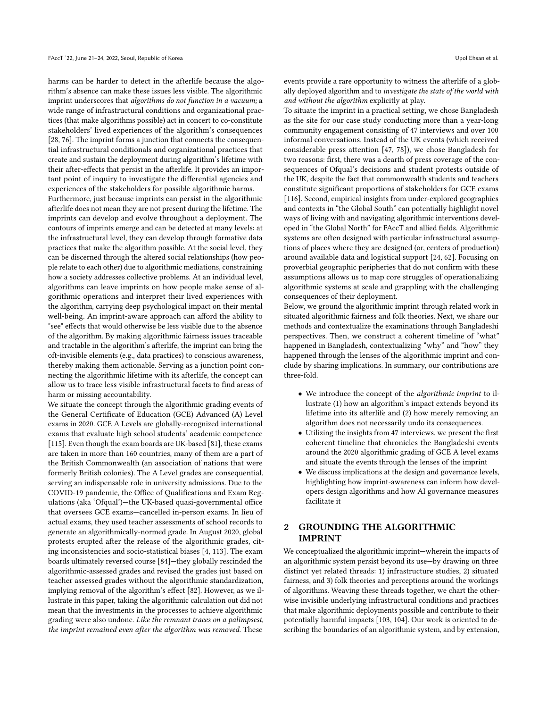harms can be harder to detect in the afterlife because the algorithm's absence can make these issues less visible. The algorithmic imprint underscores that algorithms do not function in a vacuum; a wide range of infrastructural conditions and organizational practices (that make algorithms possible) act in concert to co-constitute stakeholders' lived experiences of the algorithm's consequences [\[28,](#page-10-3) [76\]](#page-11-1). The imprint forms a junction that connects the consequential infrastructural conditionals and organizational practices that create and sustain the deployment during algorithm's lifetime with their after-effects that persist in the afterlife. It provides an important point of inquiry to investigate the differential agencies and experiences of the stakeholders for possible algorithmic harms.

Furthermore, just because imprints can persist in the algorithmic afterlife does not mean they are not present during the lifetime. The imprints can develop and evolve throughout a deployment. The contours of imprints emerge and can be detected at many levels: at the infrastructural level, they can develop through formative data practices that make the algorithm possible. At the social level, they can be discerned through the altered social relationships (how people relate to each other) due to algorithmic mediations, constraining how a society addresses collective problems. At an individual level, algorithms can leave imprints on how people make sense of algorithmic operations and interpret their lived experiences with the algorithm, carrying deep psychological impact on their mental well-being. An imprint-aware approach can afford the ability to "see" effects that would otherwise be less visible due to the absence of the algorithm. By making algorithmic fairness issues traceable and tractable in the algorithm's afterlife, the imprint can bring the oft-invisible elements (e.g., data practices) to conscious awareness, thereby making them actionable. Serving as a junction point connecting the algorithmic lifetime with its afterlife, the concept can allow us to trace less visible infrastructural facets to find areas of harm or missing accountability.

We situate the concept through the algorithmic grading events of the General Certificate of Education (GCE) Advanced (A) Level exams in 2020. GCE A Levels are globally-recognized international exams that evaluate high school students' academic competence [\[115\]](#page-12-1). Even though the exam boards are UK-based [\[81\]](#page-11-2), these exams are taken in more than 160 countries, many of them are a part of the British Commonwealth (an association of nations that were formerly British colonies). The A Level grades are consequential, serving an indispensable role in university admissions. Due to the COVID-19 pandemic, the Office of Qualifications and Exam Regulations (aka 'Ofqual')—the UK-based quasi-governmental office that oversees GCE exams—cancelled in-person exams. In lieu of actual exams, they used teacher assessments of school records to generate an algorithmically-normed grade. In August 2020, global protests erupted after the release of the algorithmic grades, citing inconsistencies and socio-statistical biases [\[4,](#page-9-1) [113\]](#page-12-2). The exam boards ultimately reversed course [\[84\]](#page-11-3)—they globally rescinded the algorithmic-assessed grades and revised the grades just based on teacher assessed grades without the algorithmic standardization, implying removal of the algorithm's effect [\[82\]](#page-11-4). However, as we illustrate in this paper, taking the algorithmic calculation out did not mean that the investments in the processes to achieve algorithmic grading were also undone. Like the remnant traces on a palimpsest, the imprint remained even after the algorithm was removed. These

events provide a rare opportunity to witness the afterlife of a globally deployed algorithm and to investigate the state of the world with and without the algorithm explicitly at play.

To situate the imprint in a practical setting, we chose Bangladesh as the site for our case study conducting more than a year-long community engagement consisting of 47 interviews and over 100 informal conversations. Instead of the UK events (which received considerable press attention [\[47,](#page-10-4) [78\]](#page-11-5)), we chose Bangladesh for two reasons: first, there was a dearth of press coverage of the consequences of Ofqual's decisions and student protests outside of the UK, despite the fact that commonwealth students and teachers constitute significant proportions of stakeholders for GCE exams [\[116\]](#page-12-3). Second, empirical insights from under-explored geographies and contexts in "the Global South" can potentially highlight novel ways of living with and navigating algorithmic interventions developed in "the Global North" for FAccT and allied fields. Algorithmic systems are often designed with particular infrastructural assumptions of places where they are designed (or, centers of production) around available data and logistical support [\[24,](#page-10-5) [62\]](#page-11-6). Focusing on proverbial geographic peripheries that do not confirm with these assumptions allows us to map core struggles of operationalizing algorithmic systems at scale and grappling with the challenging consequences of their deployment.

Below, we ground the algorithmic imprint through related work in situated algorithmic fairness and folk theories. Next, we share our methods and contextualize the examinations through Bangladeshi perspectives. Then, we construct a coherent timeline of "what" happened in Bangladesh, contextualizing "why" and "how" they happened through the lenses of the algorithmic imprint and conclude by sharing implications. In summary, our contributions are three-fold.

- We introduce the concept of the algorithmic imprint to illustrate (1) how an algorithm's impact extends beyond its lifetime into its afterlife and (2) how merely removing an algorithm does not necessarily undo its consequences.
- Utilizing the insights from 47 interviews, we present the first coherent timeline that chronicles the Bangladeshi events around the 2020 algorithmic grading of GCE A level exams and situate the events through the lenses of the imprint
- We discuss implications at the design and governance levels, highlighting how imprint-awareness can inform how developers design algorithms and how AI governance measures facilitate it

# 2 GROUNDING THE ALGORITHMIC IMPRINT

We conceptualized the algorithmic imprint—wherein the impacts of an algorithmic system persist beyond its use—by drawing on three distinct yet related threads: 1) infrastructure studies, 2) situated fairness, and 3) folk theories and perceptions around the workings of algorithms. Weaving these threads together, we chart the otherwise invisible underlying infrastructural conditions and practices that make algorithmic deployments possible and contribute to their potentially harmful impacts [\[103,](#page-11-7) [104\]](#page-12-4). Our work is oriented to describing the boundaries of an algorithmic system, and by extension,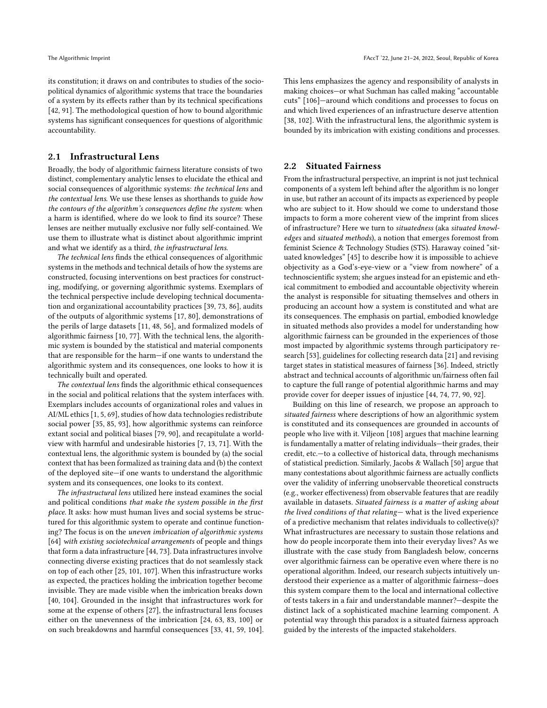its constitution; it draws on and contributes to studies of the sociopolitical dynamics of algorithmic systems that trace the boundaries of a system by its effects rather than by its technical specifications [\[42,](#page-10-6) [91\]](#page-11-8). The methodological question of how to bound algorithmic systems has significant consequences for questions of algorithmic accountability.

### 2.1 Infrastructural Lens

Broadly, the body of algorithmic fairness literature consists of two distinct, complementary analytic lenses to elucidate the ethical and social consequences of algorithmic systems: the technical lens and the contextual lens. We use these lenses as shorthands to guide how the contours of the algorithm's consequences define the system: when a harm is identified, where do we look to find its source? These lenses are neither mutually exclusive nor fully self-contained. We use them to illustrate what is distinct about algorithmic imprint and what we identify as a third, the infrastructural lens.

The technical lens finds the ethical consequences of algorithmic systems in the methods and technical details of how the systems are constructed, focusing interventions on best practices for constructing, modifying, or governing algorithmic systems. Exemplars of the technical perspective include developing technical documentation and organizational accountability practices [\[39,](#page-10-7) [73,](#page-11-9) [86\]](#page-11-0), audits of the outputs of algorithmic systems [\[17,](#page-10-1) [80\]](#page-11-10), demonstrations of the perils of large datasets [\[11,](#page-9-2) [48,](#page-10-8) [56\]](#page-10-9), and formalized models of algorithmic fairness [\[10,](#page-9-3) [77\]](#page-11-11). With the technical lens, the algorithmic system is bounded by the statistical and material components that are responsible for the harm—if one wants to understand the algorithmic system and its consequences, one looks to how it is technically built and operated.

The contextual lens finds the algorithmic ethical consequences in the social and political relations that the system interfaces with. Exemplars includes accounts of organizational roles and values in AI/ML ethics [\[1,](#page-9-4) [5,](#page-9-5) [69\]](#page-11-12), studies of how data technologies redistribute social power [\[35,](#page-10-10) [85,](#page-11-13) [93\]](#page-11-14), how algorithmic systems can reinforce extant social and political biases [\[79,](#page-11-15) [90\]](#page-11-16), and recapitulate a worldview with harmful and undesirable histories [\[7,](#page-9-6) [13,](#page-10-11) [71\]](#page-11-17). With the contextual lens, the algorithmic system is bounded by (a) the social context that has been formalized as training data and (b) the context of the deployed site—if one wants to understand the algorithmic system and its consequences, one looks to its context.

The infrastructural lens utilized here instead examines the social and political conditions that make the system possible in the first place. It asks: how must human lives and social systems be structured for this algorithmic system to operate and continue functioning? The focus is on the uneven imbrication of algorithmic systems [\[64\]](#page-11-18) with existing sociotechnical arrangements of people and things that form a data infrastructure [\[44,](#page-10-12) [73\]](#page-11-9). Data infrastructures involve connecting diverse existing practices that do not seamlessly stack on top of each other [\[25,](#page-10-13) [101,](#page-11-19) [107\]](#page-12-5). When this infrastructure works as expected, the practices holding the imbrication together become invisible. They are made visible when the imbrication breaks down [\[40,](#page-10-14) [104\]](#page-12-4). Grounded in the insight that infrastructures work for some at the expense of others [\[27\]](#page-10-15), the infrastructural lens focuses either on the unevenness of the imbrication [\[24,](#page-10-5) [63,](#page-11-20) [83,](#page-11-21) [100\]](#page-11-22) or on such breakdowns and harmful consequences [\[33,](#page-10-16) [41,](#page-10-17) [59,](#page-11-23) [104\]](#page-12-4).

This lens emphasizes the agency and responsibility of analysts in making choices—or what Suchman has called making "accountable cuts" [\[106\]](#page-12-6)—around which conditions and processes to focus on and which lived experiences of an infrastructure deserve attention [\[38,](#page-10-18) [102\]](#page-11-24). With the infrastructural lens, the algorithmic system is bounded by its imbrication with existing conditions and processes.

#### 2.2 Situated Fairness

From the infrastructural perspective, an imprint is not just technical components of a system left behind after the algorithm is no longer in use, but rather an account of its impacts as experienced by people who are subject to it. How should we come to understand those impacts to form a more coherent view of the imprint from slices of infrastructure? Here we turn to situatedness (aka situated knowledges and situated methods), a notion that emerges foremost from feminist Science & Technology Studies (STS). Haraway coined "situated knowledges" [\[45\]](#page-10-19) to describe how it is impossible to achieve objectivity as a God's-eye-view or a "view from nowhere" of a technoscientific system; she argues instead for an epistemic and ethical commitment to embodied and accountable objectivity wherein the analyst is responsible for situating themselves and others in producing an account how a system is constituted and what are its consequences. The emphasis on partial, embodied knowledge in situated methods also provides a model for understanding how algorithmic fairness can be grounded in the experiences of those most impacted by algorithmic systems through participatory research [\[53\]](#page-10-20), guidelines for collecting research data [\[21\]](#page-10-21) and revising target states in statistical measures of fairness [\[36\]](#page-10-22). Indeed, strictly abstract and technical accounts of algorithmic un/fairness often fail to capture the full range of potential algorithmic harms and may provide cover for deeper issues of injustice [\[44,](#page-10-12) [74,](#page-11-25) [77,](#page-11-11) [90,](#page-11-16) [92\]](#page-11-26).

Building on this line of research, we propose an approach to situated fairness where descriptions of how an algorithmic system is constituted and its consequences are grounded in accounts of people who live with it. Viljeon [\[108\]](#page-12-7) argues that machine learning is fundamentally a matter of relating individuals—their grades, their credit, etc.—to a collective of historical data, through mechanisms of statistical prediction. Similarly, Jacobs & Wallach [\[50\]](#page-10-23) argue that many contestations about algorithmic fairness are actually conflicts over the validity of inferring unobservable theoretical constructs (e.g., worker effectiveness) from observable features that are readily available in datasets. Situated fairness is a matter of asking about the lived conditions of that relating— what is the lived experience of a predictive mechanism that relates individuals to collective(s)? What infrastructures are necessary to sustain those relations and how do people incorporate them into their everyday lives? As we illustrate with the case study from Bangladesh below, concerns over algorithmic fairness can be operative even where there is no operational algorithm. Indeed, our research subjects intuitively understood their experience as a matter of algorithmic fairness—does this system compare them to the local and international collective of tests takers in a fair and understandable manner?—despite the distinct lack of a sophisticated machine learning component. A potential way through this paradox is a situated fairness approach guided by the interests of the impacted stakeholders.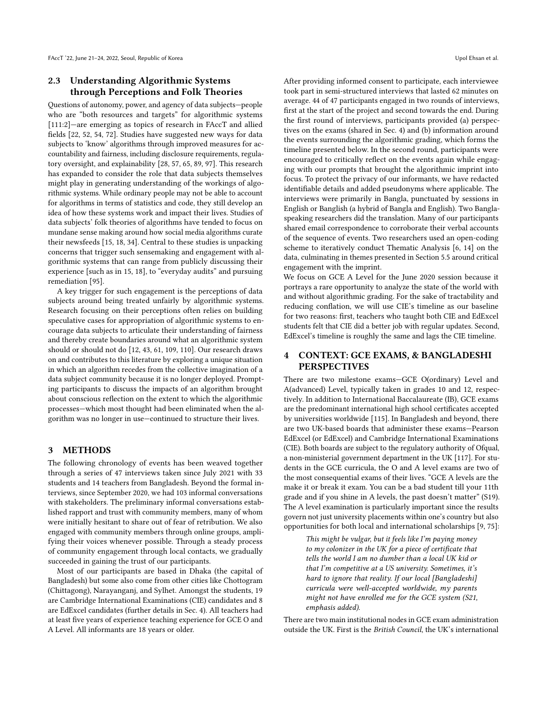# 2.3 Understanding Algorithmic Systems through Perceptions and Folk Theories

Questions of autonomy, power, and agency of data subjects—people who are "both resources and targets" for algorithmic systems [\[111:](#page-12-8)[2\]](#page-9-7)—are emerging as topics of research in FAccT and allied fields [\[22,](#page-10-24) [52,](#page-10-25) [54,](#page-10-26) [72\]](#page-11-27). Studies have suggested new ways for data subjects to 'know' algorithms through improved measures for accountability and fairness, including disclosure requirements, regulatory oversight, and explainability [\[28,](#page-10-3) [57,](#page-10-27) [65,](#page-11-28) [89,](#page-11-29) [97\]](#page-11-30). This research has expanded to consider the role that data subjects themselves might play in generating understanding of the workings of algorithmic systems. While ordinary people may not be able to account for algorithms in terms of statistics and code, they still develop an idea of how these systems work and impact their lives. Studies of data subjects' folk theories of algorithms have tended to focus on mundane sense making around how social media algorithms curate their newsfeeds [\[15,](#page-10-28) [18,](#page-10-29) [34\]](#page-10-30). Central to these studies is unpacking concerns that trigger such sensemaking and engagement with algorithmic systems that can range from publicly discussing their experience [such as in 15, 18], to "everyday audits" and pursuing remediation [\[95\]](#page-11-31).

A key trigger for such engagement is the perceptions of data subjects around being treated unfairly by algorithmic systems. Research focusing on their perceptions often relies on building speculative cases for appropriation of algorithmic systems to encourage data subjects to articulate their understanding of fairness and thereby create boundaries around what an algorithmic system should or should not do [\[12,](#page-9-8) [43,](#page-10-31) [61,](#page-11-32) [109,](#page-12-9) [110\]](#page-12-10). Our research draws on and contributes to this literature by exploring a unique situation in which an algorithm recedes from the collective imagination of a data subject community because it is no longer deployed. Prompting participants to discuss the impacts of an algorithm brought about conscious reflection on the extent to which the algorithmic processes—which most thought had been eliminated when the algorithm was no longer in use—continued to structure their lives.

#### 3 METHODS

The following chronology of events has been weaved together through a series of 47 interviews taken since July 2021 with 33 students and 14 teachers from Bangladesh. Beyond the formal interviews, since September 2020, we had 103 informal conversations with stakeholders. The preliminary informal conversations established rapport and trust with community members, many of whom were initially hesitant to share out of fear of retribution. We also engaged with community members through online groups, amplifying their voices whenever possible. Through a steady process of community engagement through local contacts, we gradually succeeded in gaining the trust of our participants.

Most of our participants are based in Dhaka (the capital of Bangladesh) but some also come from other cities like Chottogram (Chittagong), Narayanganj, and Sylhet. Amongst the students, 19 are Cambridge International Examinations (CIE) candidates and 8 are EdExcel candidates (further details in Sec. 4). All teachers had at least five years of experience teaching experience for GCE O and A Level. All informants are 18 years or older.

After providing informed consent to participate, each interviewee took part in semi-structured interviews that lasted 62 minutes on average. 44 of 47 participants engaged in two rounds of interviews, first at the start of the project and second towards the end. During the first round of interviews, participants provided (a) perspectives on the exams (shared in Sec. 4) and (b) information around the events surrounding the algorithmic grading, which forms the timeline presented below. In the second round, participants were encouraged to critically reflect on the events again while engaging with our prompts that brought the algorithmic imprint into focus. To protect the privacy of our informants, we have redacted identifiable details and added pseudonyms where applicable. The interviews were primarily in Bangla, punctuated by sessions in English or Banglish (a hybrid of Bangla and English). Two Banglaspeaking researchers did the translation. Many of our participants shared email correspondence to corroborate their verbal accounts of the sequence of events. Two researchers used an open-coding scheme to iteratively conduct Thematic Analysis [\[6,](#page-9-9) [14\]](#page-10-32) on the data, culminating in themes presented in Section 5.5 around critical engagement with the imprint.

We focus on GCE A Level for the June 2020 session because it portrays a rare opportunity to analyze the state of the world with and without algorithmic grading. For the sake of tractability and reducing conflation, we will use CIE's timeline as our baseline for two reasons: first, teachers who taught both CIE and EdExcel students felt that CIE did a better job with regular updates. Second, EdExcel's timeline is roughly the same and lags the CIE timeline.

# 4 CONTEXT: GCE EXAMS, & BANGLADESHI PERSPECTIVES

There are two milestone exams—GCE O(ordinary) Level and A(advanced) Level, typically taken in grades 10 and 12, respectively. In addition to International Baccalaureate (IB), GCE exams are the predominant international high school certificates accepted by universities worldwide [\[115\]](#page-12-1). In Bangladesh and beyond, there are two UK-based boards that administer these exams—Pearson EdExcel (or EdExcel) and Cambridge International Examinations (CIE). Both boards are subject to the regulatory authority of Ofqual, a non-ministerial government department in the UK [\[117\]](#page-12-11). For students in the GCE curricula, the O and A level exams are two of the most consequential exams of their lives. "GCE A levels are the make it or break it exam. You can be a bad student till your 11th grade and if you shine in A levels, the past doesn't matter" (S19). The A level examination is particularly important since the results govern not just university placements within one's country but also opportunities for both local and international scholarships [\[9,](#page-9-10) [75\]](#page-11-33):

> This might be vulgar, but it feels like I'm paying money to my colonizer in the UK for a piece of certificate that tells the world I am no dumber than a local UK kid or that I'm competitive at a US university. Sometimes, it's hard to ignore that reality. If our local [Bangladeshi] curricula were well-accepted worldwide, my parents might not have enrolled me for the GCE system (S21, emphasis added).

There are two main institutional nodes in GCE exam administration outside the UK. First is the British Council, the UK's international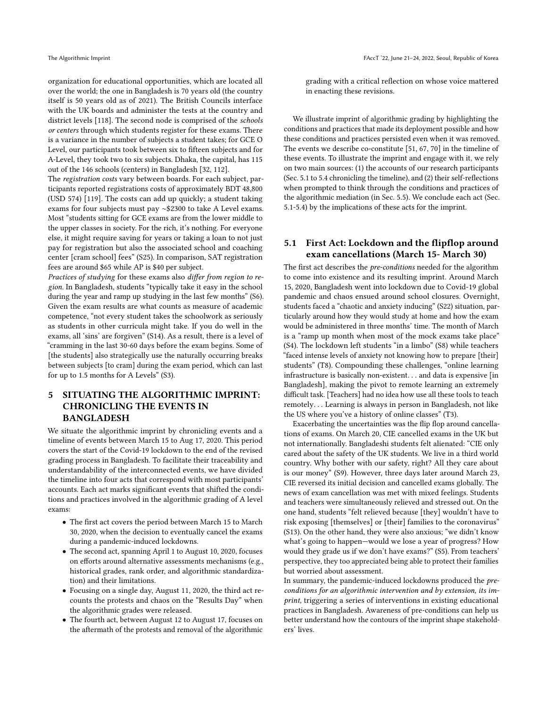organization for educational opportunities, which are located all over the world; the one in Bangladesh is 70 years old (the country itself is 50 years old as of 2021). The British Councils interface with the UK boards and administer the tests at the country and district levels [\[118\]](#page-12-12). The second node is comprised of the schools or centers through which students register for these exams. There is a variance in the number of subjects a student takes; for GCE O Level, our participants took between six to fifteen subjects and for A-Level, they took two to six subjects. Dhaka, the capital, has 115 out of the 146 schools (centers) in Bangladesh [\[32,](#page-10-33) [112\]](#page-12-13).

The registration costs vary between boards. For each subject, participants reported registrations costs of approximately BDT 48,800 (USD 574) [\[119\]](#page-12-14). The costs can add up quickly; a student taking exams for four subjects must pay ∼\$2300 to take A Level exams. Most "students sitting for GCE exams are from the lower middle to the upper classes in society. For the rich, it's nothing. For everyone else, it might require saving for years or taking a loan to not just pay for registration but also the associated school and coaching center [cram school] fees" (S25). In comparison, SAT registration fees are around \$65 while AP is \$40 per subject.

Practices of studying for these exams also differ from region to region. In Bangladesh, students "typically take it easy in the school during the year and ramp up studying in the last few months" (S6). Given the exam results are what counts as measure of academic competence, "not every student takes the schoolwork as seriously as students in other curricula might take. If you do well in the exams, all 'sins' are forgiven" (S14). As a result, there is a level of "cramming in the last 30-60 days before the exam begins. Some of [the students] also strategically use the naturally occurring breaks between subjects [to cram] during the exam period, which can last for up to 1.5 months for A Levels" (S3).

# 5 SITUATING THE ALGORITHMIC IMPRINT: CHRONICLING THE EVENTS IN BANGLADESH

We situate the algorithmic imprint by chronicling events and a timeline of events between March 15 to Aug 17, 2020. This period covers the start of the Covid-19 lockdown to the end of the revised grading process in Bangladesh. To facilitate their traceability and understandability of the interconnected events, we have divided the timeline into four acts that correspond with most participants' accounts. Each act marks significant events that shifted the conditions and practices involved in the algorithmic grading of A level exams:

- The first act covers the period between March 15 to March 30, 2020, when the decision to eventually cancel the exams during a pandemic-induced lockdowns.
- The second act, spanning April 1 to August 10, 2020, focuses on efforts around alternative assessments mechanisms (e.g., historical grades, rank order, and algorithmic standardization) and their limitations.
- Focusing on a single day, August 11, 2020, the third act recounts the protests and chaos on the "Results Day" when the algorithmic grades were released.
- The fourth act, between August 12 to August 17, focuses on the aftermath of the protests and removal of the algorithmic

grading with a critical reflection on whose voice mattered in enacting these revisions.

We illustrate imprint of algorithmic grading by highlighting the conditions and practices that made its deployment possible and how these conditions and practices persisted even when it was removed. The events we describe co-constitute [\[51,](#page-10-34) [67,](#page-11-34) [70\]](#page-11-35) in the timeline of these events. To illustrate the imprint and engage with it, we rely on two main sources: (1) the accounts of our research participants (Sec. 5.1 to 5.4 chronicling the timeline), and (2) their self-reflections when prompted to think through the conditions and practices of the algorithmic mediation (in Sec. 5.5). We conclude each act (Sec. 5.1-5.4) by the implications of these acts for the imprint.

### 5.1 First Act: Lockdown and the flipflop around exam cancellations (March 15- March 30)

The first act describes the pre-conditions needed for the algorithm to come into existence and its resulting imprint. Around March 15, 2020, Bangladesh went into lockdown due to Covid-19 global pandemic and chaos ensued around school closures. Overnight, students faced a "chaotic and anxiety inducing" (S22) situation, particularly around how they would study at home and how the exam would be administered in three months' time. The month of March is a "ramp up month when most of the mock exams take place" (S4). The lockdown left students "in a limbo" (S8) while teachers "faced intense levels of anxiety not knowing how to prepare [their] students" (T8). Compounding these challenges, "online learning infrastructure is basically non-existent. . . and data is expensive [in Bangladesh], making the pivot to remote learning an extremely difficult task. [Teachers] had no idea how use all these tools to teach remotely. . . Learning is always in person in Bangladesh, not like the US where you've a history of online classes" (T3).

Exacerbating the uncertainties was the flip flop around cancellations of exams. On March 20, CIE cancelled exams in the UK but not internationally. Bangladeshi students felt alienated: "CIE only cared about the safety of the UK students. We live in a third world country. Why bother with our safety, right? All they care about is our money" (S9). However, three days later around March 23, CIE reversed its initial decision and cancelled exams globally. The news of exam cancellation was met with mixed feelings. Students and teachers were simultaneously relieved and stressed out. On the one hand, students "felt relieved because [they] wouldn't have to risk exposing [themselves] or [their] families to the coronavirus" (S13). On the other hand, they were also anxious; "we didn't know what's going to happen—would we lose a year of progress? How would they grade us if we don't have exams?" (S5). From teachers' perspective, they too appreciated being able to protect their families but worried about assessment.

In summary, the pandemic-induced lockdowns produced the preconditions for an algorithmic intervention and by extension, its imprint, triggering a series of interventions in existing educational practices in Bangladesh. Awareness of pre-conditions can help us better understand how the contours of the imprint shape stakeholders' lives.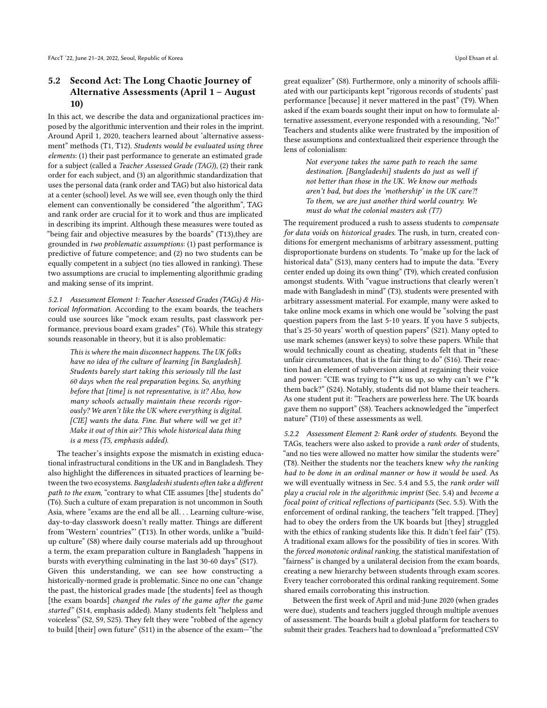# 5.2 Second Act: The Long Chaotic Journey of Alternative Assessments (April 1 – August 10)

In this act, we describe the data and organizational practices imposed by the algorithmic intervention and their roles in the imprint. Around April 1, 2020, teachers learned about 'alternative assessment" methods (T1, T12). Students would be evaluated using three elements: (1) their past performance to generate an estimated grade for a subject (called a Teacher Assessed Grade (TAG)), (2) their rank order for each subject, and (3) an algorithmic standardization that uses the personal data (rank order and TAG) but also historical data at a center (school) level. As we will see, even though only the third element can conventionally be considered "the algorithm", TAG and rank order are crucial for it to work and thus are implicated in describing its imprint. Although these measures were touted as "being fair and objective measures by the boards" (T13),they are grounded in two problematic assumptions: (1) past performance is predictive of future competence; and (2) no two students can be equally competent in a subject (no ties allowed in ranking). These two assumptions are crucial to implementing algorithmic grading and making sense of its imprint.

5.2.1 Assessment Element 1: Teacher Assessed Grades (TAGs) & Historical Information. According to the exam boards, the teachers could use sources like "mock exam results, past classwork performance, previous board exam grades" (T6). While this strategy sounds reasonable in theory, but it is also problematic:

This is where the main disconnect happens. The UK folks have no idea of the culture of learning [in Bangladesh]. Students barely start taking this seriously till the last 60 days when the real preparation begins. So, anything before that [time] is not representative, is it? Also, how many schools actually maintain these records rigorously? We aren't like the UK where everything is digital. [CIE] wants the data. Fine. But where will we get it? Make it out of thin air? This whole historical data thing is a mess (T5, emphasis added).

The teacher's insights expose the mismatch in existing educational infrastructural conditions in the UK and in Bangladesh. They also highlight the differences in situated practices of learning between the two ecosystems. Bangladeshi students often take a different path to the exam, "contrary to what CIE assumes [the] students do" (T6). Such a culture of exam preparation is not uncommon in South Asia, where "exams are the end all be all. . . Learning culture-wise, day-to-day classwork doesn't really matter. Things are different from 'Western' countries"' (T13). In other words, unlike a "buildup culture" (S8) where daily course materials add up throughout a term, the exam preparation culture in Bangladesh "happens in bursts with everything culminating in the last 30-60 days" (S17). Given this understanding, we can see how constructing a historically-normed grade is problematic. Since no one can "change the past, the historical grades made [the students] feel as though [the exam boards] changed the rules of the game after the game started" (S14, emphasis added). Many students felt "helpless and voiceless" (S2, S9, S25). They felt they were "robbed of the agency to build [their] own future" (S11) in the absence of the exam—"the

great equalizer" (S8). Furthermore, only a minority of schools affiliated with our participants kept "rigorous records of students' past performance [because] it never mattered in the past" (T9). When asked if the exam boards sought their input on how to formulate alternative assessment, everyone responded with a resounding, "No!" Teachers and students alike were frustrated by the imposition of these assumptions and contextualized their experience through the lens of colonialism:

> Not everyone takes the same path to reach the same destination. [Bangladeshi] students do just as well if not better than those in the UK. We know our methods aren't bad, but does the 'mothership' in the UK care?! To them, we are just another third world country. We must do what the colonial masters ask (T7)

The requirement produced a rush to assess students to compensate for data voids on historical grades. The rush, in turn, created conditions for emergent mechanisms of arbitrary assessment, putting disproportionate burdens on students. To "make up for the lack of historical data" (S13), many centers had to impute the data. "Every center ended up doing its own thing" (T9), which created confusion amongst students. With "vague instructions that clearly weren't made with Bangladesh in mind" (T3), students were presented with arbitrary assessment material. For example, many were asked to take online mock exams in which one would be "solving the past question papers from the last 5-10 years. If you have 5 subjects, that's 25-50 years' worth of question papers" (S21). Many opted to use mark schemes (answer keys) to solve these papers. While that would technically count as cheating, students felt that in "these unfair circumstances, that is the fair thing to do" (S16). Their reaction had an element of subversion aimed at regaining their voice and power: "CIE was trying to f\*\*k us up, so why can't we f\*\*k them back?" (S24). Notably, students did not blame their teachers. As one student put it: "Teachers are powerless here. The UK boards gave them no support" (S8). Teachers acknowledged the "imperfect nature" (T10) of these assessments as well.

5.2.2 Assessment Element 2: Rank order of students. Beyond the TAGs, teachers were also asked to provide a rank order of students, "and no ties were allowed no matter how similar the students were" (T8). Neither the students nor the teachers knew why the ranking had to be done in an ordinal manner or how it would be used. As we will eventually witness in Sec. 5.4 and 5.5, the rank order will play a crucial role in the algorithmic imprint (Sec. 5.4) and become a focal point of critical reflections of participants (Sec. 5.5). With the enforcement of ordinal ranking, the teachers "felt trapped. [They] had to obey the orders from the UK boards but [they] struggled with the ethics of ranking students like this. It didn't feel fair" (T5). A traditional exam allows for the possibility of ties in scores. With the forced monotonic ordinal ranking, the statistical manifestation of "fairness" is changed by a unilateral decision from the exam boards, creating a new hierarchy between students through exam scores. Every teacher corroborated this ordinal ranking requirement. Some shared emails corroborating this instruction.

Between the first week of April and mid-June 2020 (when grades were due), students and teachers juggled through multiple avenues of assessment. The boards built a global platform for teachers to submit their grades. Teachers had to download a "preformatted CSV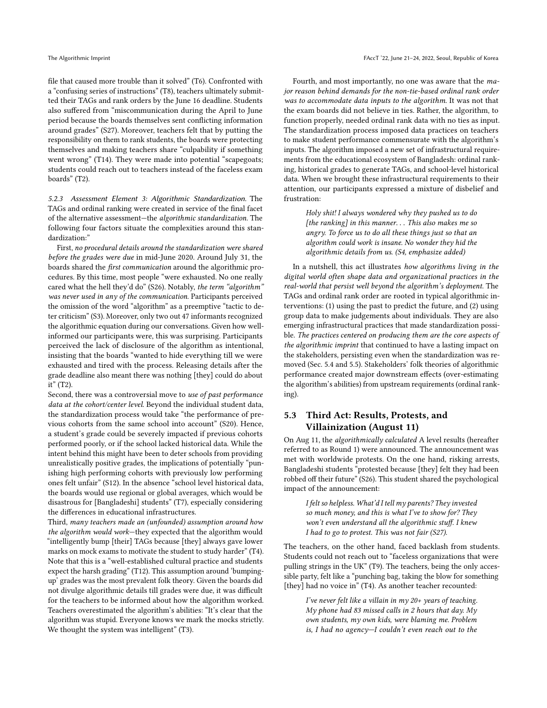file that caused more trouble than it solved" (T6). Confronted with a "confusing series of instructions" (T8), teachers ultimately submitted their TAGs and rank orders by the June 16 deadline. Students also suffered from "miscommunication during the April to June period because the boards themselves sent conflicting information around grades" (S27). Moreover, teachers felt that by putting the responsibility on them to rank students, the boards were protecting themselves and making teachers share "culpability if something went wrong" (T14). They were made into potential "scapegoats; students could reach out to teachers instead of the faceless exam boards" (T2).

5.2.3 Assessment Element 3: Algorithmic Standardization. The TAGs and ordinal ranking were created in service of the final facet of the alternative assessment—the algorithmic standardization. The following four factors situate the complexities around this standardization:"

First, no procedural details around the standardization were shared before the grades were due in mid-June 2020. Around July 31, the boards shared the first communication around the algorithmic procedures. By this time, most people "were exhausted. No one really cared what the hell they'd do" (S26). Notably, the term "algorithm" was never used in any of the communication. Participants perceived the omission of the word "algorithm" as a preemptive "tactic to deter criticism" (S3). Moreover, only two out 47 informants recognized the algorithmic equation during our conversations. Given how wellinformed our participants were, this was surprising. Participants perceived the lack of disclosure of the algorithm as intentional, insisting that the boards "wanted to hide everything till we were exhausted and tired with the process. Releasing details after the grade deadline also meant there was nothing [they] could do about it" (T2).

Second, there was a controversial move to use of past performance data at the cohort/center level. Beyond the individual student data, the standardization process would take "the performance of previous cohorts from the same school into account" (S20). Hence, a student's grade could be severely impacted if previous cohorts performed poorly, or if the school lacked historical data. While the intent behind this might have been to deter schools from providing unrealistically positive grades, the implications of potentially "punishing high performing cohorts with previously low performing ones felt unfair" (S12). In the absence "school level historical data, the boards would use regional or global averages, which would be disastrous for [Bangladeshi] students" (T7), especially considering the differences in educational infrastructures.

Third, many teachers made an (unfounded) assumption around how the algorithm would work—they expected that the algorithm would "intelligently bump [their] TAGs because [they] always gave lower marks on mock exams to motivate the student to study harder" (T4). Note that this is a "well-established cultural practice and students expect the harsh grading" (T12). This assumption around 'bumpingup' grades was the most prevalent folk theory. Given the boards did not divulge algorithmic details till grades were due, it was difficult for the teachers to be informed about how the algorithm worked. Teachers overestimated the algorithm's abilities: "It's clear that the algorithm was stupid. Everyone knows we mark the mocks strictly. We thought the system was intelligent" (T3).

Fourth, and most importantly, no one was aware that the major reason behind demands for the non-tie-based ordinal rank order was to accommodate data inputs to the algorithm. It was not that the exam boards did not believe in ties. Rather, the algorithm, to function properly, needed ordinal rank data with no ties as input. The standardization process imposed data practices on teachers to make student performance commensurate with the algorithm's inputs. The algorithm imposed a new set of infrastructural requirements from the educational ecosystem of Bangladesh: ordinal ranking, historical grades to generate TAGs, and school-level historical data. When we brought these infrastructural requirements to their attention, our participants expressed a mixture of disbelief and frustration:

> Holy shit! I always wondered why they pushed us to do [the ranking] in this manner.  $\ldots$  This also makes me so angry. To force us to do all these things just so that an algorithm could work is insane. No wonder they hid the algorithmic details from us. (S4, emphasize added)

In a nutshell, this act illustrates how algorithms living in the digital world often shape data and organizational practices in the real-world that persist well beyond the algorithm's deployment. The TAGs and ordinal rank order are rooted in typical algorithmic interventions: (1) using the past to predict the future, and (2) using group data to make judgements about individuals. They are also emerging infrastructural practices that made standardization possible. The practices centered on producing them are the core aspects of the algorithmic imprint that continued to have a lasting impact on the stakeholders, persisting even when the standardization was removed (Sec. 5.4 and 5.5). Stakeholders' folk theories of algorithmic performance created major downstream effects (over-estimating the algorithm's abilities) from upstream requirements (ordinal ranking).

# 5.3 Third Act: Results, Protests, and Villainization (August 11)

On Aug 11, the algorithmically calculated A level results (hereafter referred to as Round 1) were announced. The announcement was met with worldwide protests. On the one hand, risking arrests, Bangladeshi students "protested because [they] felt they had been robbed off their future" (S26). This student shared the psychological impact of the announcement:

> I felt so helpless. What'd I tell my parents? They invested so much money, and this is what I've to show for? They won't even understand all the algorithmic stuff. I knew I had to go to protest. This was not fair (S27).

The teachers, on the other hand, faced backlash from students. Students could not reach out to "faceless organizations that were pulling strings in the UK" (T9). The teachers, being the only accessible party, felt like a "punching bag, taking the blow for something [they] had no voice in" (T4). As another teacher recounted:

> I've never felt like a villain in my 20+ years of teaching. My phone had 83 missed calls in 2 hours that day. My own students, my own kids, were blaming me. Problem is, I had no agency—I couldn't even reach out to the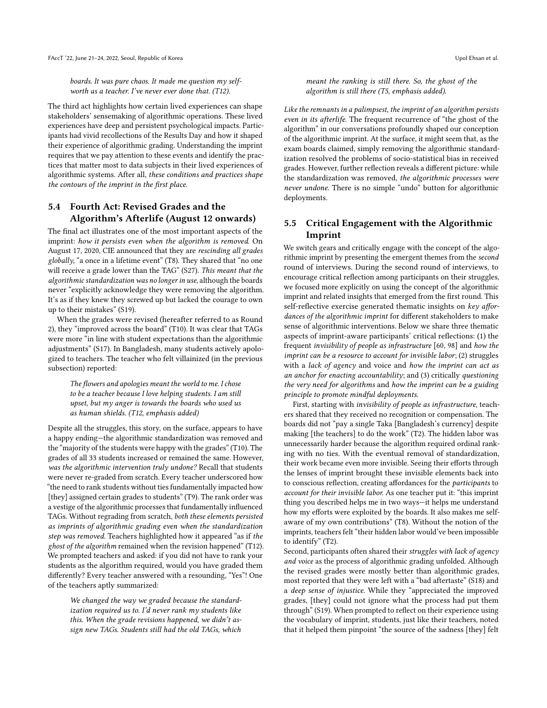boards. It was pure chaos. It made me question my selfworth as a teacher. I've never ever done that. (T12).

The third act highlights how certain lived experiences can shape stakeholders' sensemaking of algorithmic operations. These lived experiences have deep and persistent psychological impacts. Participants had vivid recollections of the Results Day and how it shaped their experience of algorithmic grading. Understanding the imprint requires that we pay attention to these events and identify the practices that matter most to data subjects in their lived experiences of algorithmic systems. After all, these conditions and practices shape the contours of the imprint in the first place.

# 5.4 Fourth Act: Revised Grades and the Algorithm's Afterlife (August 12 onwards)

The final act illustrates one of the most important aspects of the imprint: how it persists even when the algorithm is removed. On August 17, 2020, CIE announced that they are rescinding all grades globally, "a once in a lifetime event" (T8). They shared that "no one will receive a grade lower than the TAG" (S27). This meant that the algorithmic standardization was no longer in use, although the boards never "explicitly acknowledge they were removing the algorithm. It's as if they knew they screwed up but lacked the courage to own up to their mistakes" (S19).

When the grades were revised (hereafter referred to as Round 2), they "improved across the board" (T10). It was clear that TAGs were more "in line with student expectations than the algorithmic adjustments" (S17). In Bangladesh, many students actively apologized to teachers. The teacher who felt villainized (in the previous subsection) reported:

The flowers and apologies meant the world to me. I chose to be a teacher because I love helping students. I am still upset, but my anger is towards the boards who used us as human shields. (T12, emphasis added)

Despite all the struggles, this story, on the surface, appears to have a happy ending—the algorithmic standardization was removed and the "majority of the students were happy with the grades" (T10). The grades of all 33 students increased or remained the same. However, was the algorithmic intervention truly undone? Recall that students were never re-graded from scratch. Every teacher underscored how "the need to rank students without ties fundamentally impacted how [they] assigned certain grades to students" (T9). The rank order was a vestige of the algorithmic processes that fundamentally influenced TAGs. Without regrading from scratch, both these elements persisted as imprints of algorithmic grading even when the standardization step was removed. Teachers highlighted how it appeared "as if the ghost of the algorithm remained when the revision happened" (T12). We prompted teachers and asked: if you did not have to rank your students as the algorithm required, would you have graded them differently? Every teacher answered with a resounding, "Yes"! One of the teachers aptly summarized:

> We changed the way we graded because the standardization required us to. I'd never rank my students like this. When the grade revisions happened, we didn't assign new TAGs. Students still had the old TAGs, which

meant the ranking is still there. So, the ghost of the algorithm is still there (T5, emphasis added).

Like the remnants in a palimpsest, the imprint of an algorithm persists even in its afterlife. The frequent recurrence of "the ghost of the algorithm" in our conversations profoundly shaped our conception of the algorithmic imprint. At the surface, it might seem that, as the exam boards claimed, simply removing the algorithmic standardization resolved the problems of socio-statistical bias in received grades. However, further reflection reveals a different picture: while the standardization was removed, the algorithmic processes were never undone. There is no simple "undo" button for algorithmic deployments.

# 5.5 Critical Engagement with the Algorithmic Imprint

We switch gears and critically engage with the concept of the algorithmic imprint by presenting the emergent themes from the second round of interviews. During the second round of interviews, to encourage critical reflection among participants on their struggles, we focused more explicitly on using the concept of the algorithmic imprint and related insights that emerged from the first round. This self-reflective exercise generated thematic insights on key affordances of the algorithmic imprint for different stakeholders to make sense of algorithmic interventions. Below we share three thematic aspects of imprint-aware participants' critical reflections: (1) the frequent invisibility of people as infrastructure [\[60,](#page-11-36) [98\]](#page-11-37) and how the imprint can be a resource to account for invisible labor; (2) struggles with a lack of agency and voice and how the imprint can act as an anchor for enacting accountability; and  $(3)$  critically questioning the very need for algorithms and how the imprint can be a guiding principle to promote mindful deployments.

First, starting with invisibility of people as infrastructure, teachers shared that they received no recognition or compensation. The boards did not "pay a single Taka [Bangladesh's currency] despite making [the teachers] to do the work" (T2). The hidden labor was unnecessarily harder because the algorithm required ordinal ranking with no ties. With the eventual removal of standardization, their work became even more invisible. Seeing their efforts through the lenses of imprint brought these invisible elements back into to conscious reflection, creating affordances for the participants to account for their invisible labor. As one teacher put it: "this imprint thing you described helps me in two ways—it helps me understand how my efforts were exploited by the boards. It also makes me selfaware of my own contributions" (T8). Without the notion of the imprints, teachers felt "their hidden labor would've been impossible to identify" (T2).

Second, participants often shared their struggles with lack of agency and voice as the process of algorithmic grading unfolded. Although the revised grades were mostly better than algorithmic grades, most reported that they were left with a "bad aftertaste" (S18) and a deep sense of injustice. While they "appreciated the improved grades, [they] could not ignore what the process had put them through" (S19). When prompted to reflect on their experience using the vocabulary of imprint, students, just like their teachers, noted that it helped them pinpoint "the source of the sadness [they] felt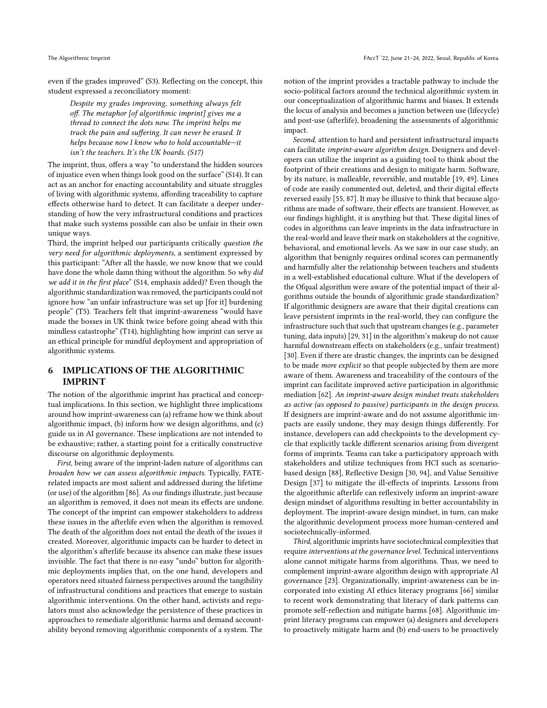even if the grades improved" (S3). Reflecting on the concept, this student expressed a reconciliatory moment:

Despite my grades improving, something always felt off. The metaphor [of algorithmic imprint] gives me a thread to connect the dots now. The imprint helps me track the pain and suffering. It can never be erased. It helps because now I know who to hold accountable—it isn't the teachers. It's the UK boards. (S17)

The imprint, thus, offers a way "to understand the hidden sources of injustice even when things look good on the surface" (S14). It can act as an anchor for enacting accountability and situate struggles of living with algorithmic systems, affording traceability to capture effects otherwise hard to detect. It can facilitate a deeper understanding of how the very infrastructural conditions and practices that make such systems possible can also be unfair in their own unique ways.

Third, the imprint helped our participants critically question the very need for algorithmic deployments, a sentiment expressed by this participant: "After all the hassle, we now know that we could have done the whole damn thing without the algorithm. So why did we add it in the first place" (S14, emphasis added)? Even though the algorithmic standardization was removed, the participants could not ignore how "an unfair infrastructure was set up [for it] burdening people" (T5). Teachers felt that imprint-awareness "would have made the bosses in UK think twice before going ahead with this mindless catastrophe" (T14), highlighting how imprint can serve as an ethical principle for mindful deployment and appropriation of algorithmic systems.

# 6 IMPLICATIONS OF THE ALGORITHMIC IMPRINT

The notion of the algorithmic imprint has practical and conceptual implications. In this section, we highlight three implications around how imprint-awareness can (a) reframe how we think about algorithmic impact, (b) inform how we design algorithms, and (c) guide us in AI governance. These implications are not intended to be exhaustive; rather, a starting point for a critically constructive discourse on algorithmic deployments.

First, being aware of the imprint-laden nature of algorithms can broaden how we can assess algorithmic impacts. Typically, FATErelated impacts are most salient and addressed during the lifetime (or use) of the algorithm [\[86\]](#page-11-0). As our findings illustrate, just because an algorithm is removed, it does not mean its effects are undone. The concept of the imprint can empower stakeholders to address these issues in the afterlife even when the algorithm is removed. The death of the algorithm does not entail the death of the issues it created. Moreover, algorithmic impacts can be harder to detect in the algorithm's afterlife because its absence can make these issues invisible. The fact that there is no easy "undo" button for algorithmic deployments implies that, on the one hand, developers and operators need situated fairness perspectives around the tangibility of infrastructural conditions and practices that emerge to sustain algorithmic interventions. On the other hand, activists and regulators must also acknowledge the persistence of these practices in approaches to remediate algorithmic harms and demand accountability beyond removing algorithmic components of a system. The

notion of the imprint provides a tractable pathway to include the socio-political factors around the technical algorithmic system in our conceptualization of algorithmic harms and biases. It extends the locus of analysis and becomes a junction between use (lifecycle) and post-use (afterlife), broadening the assessments of algorithmic impact.

Second, attention to hard and persistent infrastructural impacts can facilitate imprint-aware algorithm design. Designers and developers can utilize the imprint as a guiding tool to think about the footprint of their creations and design to mitigate harm. Software, by its nature, is malleable, reversible, and mutable [\[19,](#page-10-35) [49\]](#page-10-36). Lines of code are easily commented out, deleted, and their digital effects reversed easily [\[55,](#page-10-37) [87\]](#page-11-38). It may be illusive to think that because algorithms are made of software, their effects are transient. However, as our findings highlight, it is anything but that. These digital lines of codes in algorithms can leave imprints in the data infrastructure in the real-world and leave their mark on stakeholders at the cognitive, behavioral, and emotional levels. As we saw in our case study, an algorithm that benignly requires ordinal scores can permanently and harmfully alter the relationship between teachers and students in a well-established educational culture. What if the developers of the Ofqual algorithm were aware of the potential impact of their algorithms outside the bounds of algorithmic grade standardization? If algorithmic designers are aware that their digital creations can leave persistent imprints in the real-world, they can configure the infrastructure such that such that upstream changes (e.g., parameter tuning, data inputs) [\[29,](#page-10-38) [31\]](#page-10-39) in the algorithm's makeup do not cause harmful downstream effects on stakeholders (e.g., unfair treatment) [\[30\]](#page-10-40). Even if there are drastic changes, the imprints can be designed to be made more explicit so that people subjected by them are more aware of them. Awareness and traceability of the contours of the imprint can facilitate improved active participation in algorithmic mediation [\[62\]](#page-11-6). An imprint-aware design mindset treats stakeholders as active (as opposed to passive) participants in the design process. If designers are imprint-aware and do not assume algorithmic impacts are easily undone, they may design things differently. For instance, developers can add checkpoints to the development cycle that explicitly tackle different scenarios arising from divergent forms of imprints. Teams can take a participatory approach with stakeholders and utilize techniques from HCI such as scenariobased design [\[88\]](#page-11-39), Reflective Design [\[30,](#page-10-40) [94\]](#page-11-40), and Value Sensitive Design [\[37\]](#page-10-41) to mitigate the ill-effects of imprints. Lessons from the algorithmic afterlife can reflexively inform an imprint-aware design mindset of algorithms resulting in better accountability in deployment. The imprint-aware design mindset, in turn, can make the algorithmic development process more human-centered and sociotechnically-informed.

Third, algorithmic imprints have sociotechnical complexities that require interventions at the governance level. Technical interventions alone cannot mitigate harms from algorithms. Thus, we need to complement imprint-aware algorithm design with appropriate AI governance [\[23\]](#page-10-42). Organizationally, imprint-awareness can be incorporated into existing AI ethics literacy programs [\[66\]](#page-11-41) similar to recent work demonstrating that literacy of dark patterns can promote self-reflection and mitigate harms [\[68\]](#page-11-42). Algorithmic imprint literacy programs can empower (a) designers and developers to proactively mitigate harm and (b) end-users to be proactively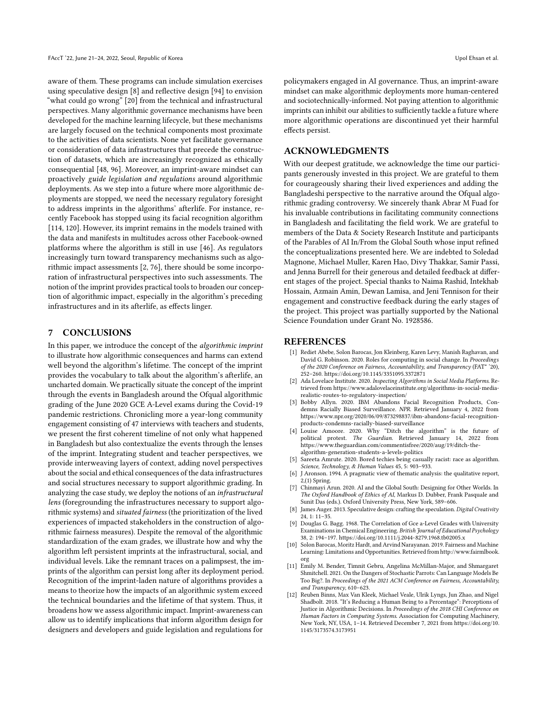aware of them. These programs can include simulation exercises using speculative design [\[8\]](#page-9-11) and reflective design [\[94\]](#page-11-40) to envision "what could go wrong" [\[20\]](#page-10-43) from the technical and infrastructural perspectives. Many algorithmic governance mechanisms have been developed for the machine learning lifecycle, but these mechanisms are largely focused on the technical components most proximate to the activities of data scientists. None yet facilitate governance or consideration of data infrastructures that precede the construction of datasets, which are increasingly recognized as ethically consequential [\[48,](#page-10-8) [96\]](#page-11-43). Moreover, an imprint-aware mindset can proactively guide legislation and regulations around algorithmic deployments. As we step into a future where more algorithmic deployments are stopped, we need the necessary regulatory foresight to address imprints in the algorithms' afterlife. For instance, recently Facebook has stopped using its facial recognition algorithm [\[114,](#page-12-15) [120\]](#page-12-16). However, its imprint remains in the models trained with the data and manifests in multitudes across other Facebook-owned platforms where the algorithm is still in use [\[46\]](#page-10-44). As regulators increasingly turn toward transparency mechanisms such as algorithmic impact assessments [\[2,](#page-9-7) [76\]](#page-11-1), there should be some incorporation of infrastructural perspectives into such assessments. The notion of the imprint provides practical tools to broaden our conception of algorithmic impact, especially in the algorithm's preceding infrastructures and in its afterlife, as effects linger.

#### 7 CONCLUSIONS

In this paper, we introduce the concept of the algorithmic imprint to illustrate how algorithmic consequences and harms can extend well beyond the algorithm's lifetime. The concept of the imprint provides the vocabulary to talk about the algorithm's afterlife, an uncharted domain. We practically situate the concept of the imprint through the events in Bangladesh around the Ofqual algorithmic grading of the June 2020 GCE A-Level exams during the Covid-19 pandemic restrictions. Chronicling more a year-long community engagement consisting of 47 interviews with teachers and students, we present the first coherent timeline of not only what happened in Bangladesh but also contextualize the events through the lenses of the imprint. Integrating student and teacher perspectives, we provide interweaving layers of context, adding novel perspectives about the social and ethical consequences of the data infrastructures and social structures necessary to support algorithmic grading. In analyzing the case study, we deploy the notions of an infrastructural lens (foregrounding the infrastructures necessary to support algorithmic systems) and situated fairness (the prioritization of the lived experiences of impacted stakeholders in the construction of algorithmic fairness measures). Despite the removal of the algorithmic standardization of the exam grades, we illustrate how and why the algorithm left persistent imprints at the infrastructural, social, and individual levels. Like the remnant traces on a palimpsest, the imprints of the algorithm can persist long after its deployment period. Recognition of the imprint-laden nature of algorithms provides a means to theorize how the impacts of an algorithmic system exceed the technical boundaries and the lifetime of that system. Thus, it broadens how we assess algorithmic impact. Imprint-awareness can allow us to identify implications that inform algorithm design for designers and developers and guide legislation and regulations for

policymakers engaged in AI governance. Thus, an imprint-aware mindset can make algorithmic deployments more human-centered and sociotechnically-informed. Not paying attention to algorithmic imprints can inhibit our abilities to sufficiently tackle a future where more algorithmic operations are discontinued yet their harmful effects persist.

### ACKNOWLEDGMENTS

With our deepest gratitude, we acknowledge the time our participants generously invested in this project. We are grateful to them for courageously sharing their lived experiences and adding the Bangladeshi perspective to the narrative around the Ofqual algorithmic grading controversy. We sincerely thank Abrar M Fuad for his invaluable contributions in facilitating community connections in Bangladesh and facilitating the field work. We are grateful to members of the Data & Society Research Institute and participants of the Parables of AI In/From the Global South whose input refined the conceptualizations presented here. We are indebted to Soledad Magnone, Michael Muller, Karen Hao, Divy Thakkar, Samir Passi, and Jenna Burrell for their generous and detailed feedback at different stages of the project. Special thanks to Naima Rashid, Intekhab Hossain, Azmain Amin, Dewan Lamisa, and Jeni Tennison for their engagement and constructive feedback during the early stages of the project. This project was partially supported by the National Science Foundation under Grant No. 1928586.

#### REFERENCES

- <span id="page-9-4"></span>[1] Rediet Abebe, Solon Barocas, Jon Kleinberg, Karen Levy, Manish Raghavan, and David G. Robinson. 2020. Roles for computing in social change. In Proceedings of the 2020 Conference on Fairness, Accountability, and Transparency (FAT\* '20), 252–260.<https://doi.org/10.1145/3351095.3372871>
- <span id="page-9-7"></span>[2] Ada Lovelace Institute. 2020. Inspecting Algorithms in Social Media Platforms. Retrieved from [https://www.adalovelaceinstitute.org/algorithms-in-social-media](https://www.adalovelaceinstitute.org/algorithms-in-social-media-realistic-routes-to-regulatory-inspection/)[realistic-routes-to-regulatory-inspection/](https://www.adalovelaceinstitute.org/algorithms-in-social-media-realistic-routes-to-regulatory-inspection/)
- <span id="page-9-0"></span>[3] Bobby Allyn. 2020. IBM Abandons Facial Recognition Products, Condemns Racially Biased Surveillance. NPR. Retrieved January 4, 2022 from [https://www.npr.org/2020/06/09/873298837/ibm-abandons-facial-recognition](https://www.npr.org/2020/06/09/873298837/ibm-abandons-facial-recognition-products-condemns-racially-biased-surveillance)[products-condemns-racially-biased-surveillance](https://www.npr.org/2020/06/09/873298837/ibm-abandons-facial-recognition-products-condemns-racially-biased-surveillance)
- <span id="page-9-1"></span>[4] Louise Amoore. 2020. Why "Ditch the algorithm" is the future of political protest. The Guardian. Retrieved January 14, 2022 from [https://www.theguardian.com/commentisfree/2020/aug/19/ditch-the](https://www.theguardian.com/commentisfree/2020/aug/19/ditch-the-algorithm-generation-students-a-levels-politics)[algorithm-generation-students-a-levels-politics](https://www.theguardian.com/commentisfree/2020/aug/19/ditch-the-algorithm-generation-students-a-levels-politics)
- <span id="page-9-5"></span>[5] Sareeta Amrute. 2020. Bored techies being casually racist: race as algorithm. Science, Technology, & Human Values 45, 5: 903–933.
- <span id="page-9-9"></span>[6] J Aronson. 1994. A pragmatic view of thematic analysis: the qualitative report, 2,(1) Spring.
- <span id="page-9-6"></span>[7] Chinmayi Arun. 2020. AI and the Global South: Designing for Other Worlds. In The Oxford Handbook of Ethics of AI, Markus D. Dubber, Frank Pasquale and Sunit Das (eds.). Oxford University Press, New York, 589–606.
- <span id="page-9-11"></span>[8] James Auger. 2013. Speculative design: crafting the speculation. Digital Creativity 24, 1: 11–35.
- <span id="page-9-10"></span>[9] Douglas G. Bagg. 1968. The Correlation of Gce a-Level Grades with University Examinations in Chemical Engineering. British Journal of Educational Psychology 38, 2: 194–197.<https://doi.org/10.1111/j.2044-8279.1968.tb02005.x>
- <span id="page-9-3"></span>[10] Solon Barocas, Moritz Hardt, and Arvind Narayanan. 2019. Fairness and Machine Learning: Limitations and Opportunities. Retrieved from [http://www.fairmlbook.](http://www.fairmlbook.org) [org](http://www.fairmlbook.org)
- <span id="page-9-2"></span>[11] Emily M. Bender, Timnit Gebru, Angelina McMillan-Major, and Shmargaret Shmitchell. 2021. On the Dangers of Stochastic Parrots: Can Language Models Be Too Big?. In Proceedings of the 2021 ACM Conference on Fairness, Accountability, and Transparency, 610–623.
- <span id="page-9-8"></span>[12] Reuben Binns, Max Van Kleek, Michael Veale, Ulrik Lyngs, Jun Zhao, and Nigel Shadbolt. 2018. "It's Reducing a Human Being to a Percentage": Perceptions of Justice in Algorithmic Decisions. In Proceedings of the 2018 CHI Conference on Human Factors in Computing Systems. Association for Computing Machinery, New York, NY, USA, 1–14. Retrieved December 7, 2021 from [https://doi.org/10.](https://doi.org/10.1145/3173574.3173951) [1145/3173574.3173951](https://doi.org/10.1145/3173574.3173951)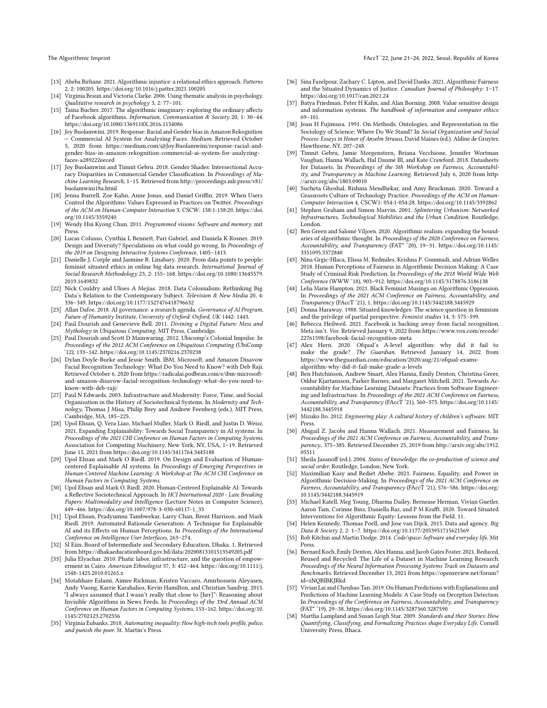- <span id="page-10-11"></span>[13] Abeba Birhane. 2021. Algorithmic injustice: a relational ethics approach. Patterns 2, 2: 100205.<https://doi.org/10.1016/j.patter.2021.100205>
- <span id="page-10-32"></span>[14] Virginia Braun and Victoria Clarke. 2006. Using thematic analysis in psychology. Qualitative research in psychology 3, 2: 77–101.
- <span id="page-10-28"></span>[15] Taina Bucher. 2017. The algorithmic imaginary: exploring the ordinary affects of Facebook algorithms. Information, Communication & Society 20, 1: 30–44. <https://doi.org/10.1080/1369118X.2016.1154086>
- <span id="page-10-0"></span>[16] Joy Buolamwini. 2019. Response: Racial and Gender bias in Amazon Rekognition - Commercial AI System for Analyzing Faces. Medium. Retrieved October 5, 2020 from [https://medium.com/@Joy.Buolamwini/response-racial-and](https://medium.com/@Joy.Buolamwini/response-racial-and-gender-bias-in-amazon-rekognition-commercial-ai-system-for-analyzing-faces-a289222eeced)[gender-bias-in-amazon-rekognition-commercial-ai-system-for-analyzing](https://medium.com/@Joy.Buolamwini/response-racial-and-gender-bias-in-amazon-rekognition-commercial-ai-system-for-analyzing-faces-a289222eeced)[faces-a289222eeced](https://medium.com/@Joy.Buolamwini/response-racial-and-gender-bias-in-amazon-rekognition-commercial-ai-system-for-analyzing-faces-a289222eeced)
- <span id="page-10-1"></span>[17] Joy Buolamwini and Timnit Gebru. 2018. Gender Shades: Intersectional Accuracy Disparities in Commercial Gender Classification. In Proceedings of Machine Learning Research, 1–15. Retrieved from [http://proceedings.mlr.press/v81/](http://proceedings.mlr.press/v81/buolamwini18a.html) [buolamwini18a.html](http://proceedings.mlr.press/v81/buolamwini18a.html)
- <span id="page-10-29"></span>[18] Jenna Burrell, Zoe Kahn, Anne Jonas, and Daniel Griffin. 2019. When Users Control the Algorithms: Values Expressed in Practices on Twitter. Proceedings of the ACM on Human-Computer Interaction 3, CSCW: 138:1-138:20. [https://doi.](https://doi.org/10.1145/3359240) [org/10.1145/3359240](https://doi.org/10.1145/3359240)
- <span id="page-10-35"></span>[19] Wendy Hui Kyong Chun. 2011. Programmed visions: Software and memory. mit Press.
- <span id="page-10-43"></span>[20] Lucas Colusso, Cynthia L Bennett, Pari Gabriel, and Daniela K Rosner. 2019. Design and Diversity? Speculations on what could go wrong. In Proceedings of the 2019 on Designing Interactive Systems Conference, 1405–1413.
- <span id="page-10-21"></span>[21] Danielle J. Corple and Jasmine R. Linabary. 2020. From data points to people: feminist situated ethics in online big data research. International Journal of Social Research Methodology 23, 2: 155–168. [https://doi.org/10.1080/13645579.](https://doi.org/10.1080/13645579.2019.1649832) [2019.1649832](https://doi.org/10.1080/13645579.2019.1649832)
- <span id="page-10-24"></span>[22] Nick Couldry and Ulises A Mejias. 2018. Data Colonialism: Rethinking Big Data's Relation to the Contemporary Subject. Television & New Media 20, 4: 336–349.<https://doi.org/10.1177/1527476418796632>
- <span id="page-10-42"></span>[23] Allan Dafoe. 2018. AI governance: a research agenda. Governance of AI Program, Future of Humanity Institute, University of Oxford: Oxford, UK 1442: 1443.
- <span id="page-10-5"></span>[24] Paul Dourish and Genevieve Bell. 2011. Divining a Digital Future: Mess and Mythology in Ubiquitous Computing. MIT Press, Cambridge.
- <span id="page-10-13"></span>[25] Paul Dourish and Scott D Mainwaring. 2012. Ubicomp's Colonial Impulse. In Proceedings of the 2012 ACM Conference on Ubiquitous Computing (UbiComp '12), 133–142.<https://doi.org/10.1145/2370216.2370238>
- <span id="page-10-2"></span>[26] Dylan Doyle-Burke and Jessie Smith. IBM, Microsoft, and Amazon Disavow Facial Recognition Technology: What Do You Need to Know? with Deb Raji. Retrieved October 6, 2020 from [https://radicalai.podbean.com/e/ibm-microsoft](https://radicalai.podbean.com/e/ibm-microsoft-and-amazon-disavow-facial-recognition-technology-what-do-you-need-to-know-with-deb-raji/)[and-amazon-disavow-facial-recognition-technology-what-do-you-need-to](https://radicalai.podbean.com/e/ibm-microsoft-and-amazon-disavow-facial-recognition-technology-what-do-you-need-to-know-with-deb-raji/)[know-with-deb-raji/](https://radicalai.podbean.com/e/ibm-microsoft-and-amazon-disavow-facial-recognition-technology-what-do-you-need-to-know-with-deb-raji/)
- <span id="page-10-15"></span>[27] Paul N Edwards. 2003. Infrastructure and Modernity: Force, Time, and Social Organization in the History of Sociotechnical Systems. In Modernity and Technology, Thomas J Misa, Philip Brey and Andrew Feenberg (eds.). MIT Press, Cambridge, MA, 185–225.
- <span id="page-10-3"></span>[28] Upol Ehsan, Q. Vera Liao, Michael Muller, Mark O. Riedl, and Justin D. Weisz. 2021. Expanding Explainability: Towards Social Transparency in AI systems. In Proceedings of the 2021 CHI Conference on Human Factors in Computing Systems. Association for Computing Machinery, New York, NY, USA, 1–19. Retrieved June 15, 2021 from<https://doi.org/10.1145/3411764.3445188>
- <span id="page-10-38"></span>[29] Upol Ehsan and Mark O Riedl. 2019. On Design and Evaluation of Humancentered Explainable AI systems. In Proceedings of Emerging Perspectives in Human-Centered Machine Learning: A Workshop at The ACM CHI Conference on Human Factors in Computing Systems.
- <span id="page-10-40"></span>[30] Upol Ehsan and Mark O. Riedl. 2020. Human-Centered Explainable AI: Towards a Reflective Sociotechnical Approach. In HCI International 2020 - Late Breaking Papers: Multimodality and Intelligence (Lecture Notes in Computer Science), 449–466. [https://doi.org/10.1007/978-3-030-60117-1\\_33](https://doi.org/10.1007/978-3-030-60117-1_33)
- <span id="page-10-39"></span>[31] Upol Ehsan, Pradyumna Tambwekar, Larry Chan, Brent Harrison, and Mark Riedl. 2019. Automated Rationale Generation: A Technique for Explainable AI and its Effects on Human Perceptions. In Proceedings of the International Conference on Intelligence User Interfaces, 263–274.
- <span id="page-10-33"></span>[32] Sl Eiin. Board of Intermediate and Secondary Education, Dhaka. 1. Retrieved from<https://dhakaeducationboard.gov.bd/data/20200813101513549205.pdf>
- <span id="page-10-16"></span>[33] Julia Elyachar. 2010. Phatic labor, infrastructure, and the question of empowerment in Cairo. American Ethnologist 37, 3: 452–464. [https://doi.org/10.1111/j.](https://doi.org/10.1111/j.1548-1425.2010.01265.x) [1548-1425.2010.01265.x](https://doi.org/10.1111/j.1548-1425.2010.01265.x)
- <span id="page-10-30"></span>[34] Motahhare Eslami, Aimee Rickman, Kristen Vaccaro, Amirhossein Aleyasen, Andy Vuong, Karrie Karahalios, Kevin Hamilton, and Christian Sandvig. 2015. "I always assumed that I wasn't really that close to [her]": Reasoning about Invisible Algorithms in News Feeds. In Proceedings of the 33rd Annual ACM Conference on Human Factors in Computing Systems, 153–162. [https://doi.org/10.](https://doi.org/10.1145/2702123.2702556) [1145/2702123.2702556](https://doi.org/10.1145/2702123.2702556)
- <span id="page-10-10"></span>[35] Virginia Eubanks. 2018. Automating inequality: How high-tech tools profile, police, and punish the poor. St. Martin's Press.
- <span id="page-10-22"></span>[36] Sina Fazelpour, Zachary C. Lipton, and David Danks. 2021. Algorithmic Fairness and the Situated Dynamics of Justice. Canadian Journal of Philosophy: 1–17. <https://doi.org/10.1017/can.2021.24>
- <span id="page-10-41"></span>[37] Batya Friedman, Peter H Kahn, and Alan Borning. 2008. Value sensitive design and information systems. The handbook of information and computer ethics: 69–101.
- <span id="page-10-18"></span>[38] Joan H Fujimura. 1991. On Methods, Ontologies, and Representation in the Sociology of Science: Where Do We Stand? In Social Organization and Social Process: Essays in Honor of Anselm Strauss, David Maines (ed.). Aldine de Gruyter, Hawthorne, NY, 207–248.
- <span id="page-10-7"></span>[39] Timnit Gebru, Jamie Morgenstern, Briana Vecchione, Jennifer Wortman Vaughan, Hanna Wallach, Hal Daumé III, and Kate Crawford. 2018. Datasheets for Datasets. In Proceedings of the 5th Workshop on Fairness, Accountability, and Transparency in Machine Learning. Retrieved July 6, 2020 from [http:](http://arxiv.org/abs/1803.09010) [//arxiv.org/abs/1803.09010](http://arxiv.org/abs/1803.09010)
- <span id="page-10-14"></span>[40] Sucheta Ghoshal, Rishma Mendhekar, and Amy Bruckman. 2020. Toward a Grassroots Culture of Technology Practice. Proceedings of the ACM on Human-Computer Interaction 4, CSCW1: 054:1-054:28.<https://doi.org/10.1145/3392862>
- <span id="page-10-17"></span>[41] Stephen Graham and Simon Marvin. 2001. Splintering Urbanism: Networked Infrastructures, Technological Mobilities and the Urban Condition. Routledge, London.
- <span id="page-10-6"></span>[42] Ben Green and Salomé Viljoen. 2020. Algorithmic realism: expanding the boundaries of algorithmic thought. In Proceedings of the 2020 Conference on Fairness, Accountability, and Transparency (FAT\* '20), 19–31. [https://doi.org/10.1145/](https://doi.org/10.1145/3351095.3372840) [3351095.3372840](https://doi.org/10.1145/3351095.3372840)
- <span id="page-10-31"></span>[43] Nina Grgic-Hlaca, Elissa M. Redmiles, Krishna P. Gummadi, and Adrian Weller. 2018. Human Perceptions of Fairness in Algorithmic Decision Making: A Case Study of Criminal Risk Prediction. In Proceedings of the 2018 World Wide Web Conference (WWW '18), 903–912.<https://doi.org/10.1145/3178876.3186138>
- <span id="page-10-12"></span>[44] Lelia Marie Hampton. 2021. Black Feminist Musings on Algorithmic Oppression. In Proceedings of the 2021 ACM Conference on Fairness, Accountability, and Transparency (FAccT '21), 1.<https://doi.org/10.1145/3442188.3445929>
- <span id="page-10-19"></span>[45] Donna Haraway. 1988. Situated knowledges: The science question in feminism and the privilege of partial perspective. Feminist studies 14, 3: 575–599.
- <span id="page-10-44"></span>[46] Rebecca Heilweil. 2021. Facebook is backing away from facial recognition. Meta isn't. Vox. Retrieved January 9, 2022 from [https://www.vox.com/recode/](https://www.vox.com/recode/22761598/facebook-facial-recognition-meta) [22761598/facebook-facial-recognition-meta](https://www.vox.com/recode/22761598/facebook-facial-recognition-meta)
- <span id="page-10-4"></span>[47] Alex Hern. 2020. Ofqual's A-level algorithm: why did it fail to make the grade? The Guardian. Retrieved January 14, 2022 from [https://www.theguardian.com/education/2020/aug/21/ofqual-exams](https://www.theguardian.com/education/2020/aug/21/ofqual-exams-algorithm-why-did-it-fail-make-grade-a-levels)[algorithm-why-did-it-fail-make-grade-a-levels](https://www.theguardian.com/education/2020/aug/21/ofqual-exams-algorithm-why-did-it-fail-make-grade-a-levels)
- <span id="page-10-8"></span>[48] Ben Hutchinson, Andrew Smart, Alex Hanna, Emily Denton, Christina Greer, Oddur Kjartansson, Parker Barnes, and Margaret Mitchell. 2021. Towards Accountability for Machine Learning Datasets: Practices from Software Engineering and Infrastructure. In Proceedings of the 2021 ACM Conference on Fairness, Accountability, and Transparency (FAccT '21), 560–575. [https://doi.org/10.1145/](https://doi.org/10.1145/3442188.3445918) [3442188.3445918](https://doi.org/10.1145/3442188.3445918)
- <span id="page-10-36"></span>[49] Mizuko Ito. 2012. Engineering play: A cultural history of children's software. MIT Press.
- <span id="page-10-23"></span>[50] Abigail Z. Jacobs and Hanna Wallach. 2021. Measurement and Fairness. In Proceedings of the 2021 ACM Conference on Fairness, Accountability, and Transparency., 375–385. Retrieved December 25, 2019 from [http://arxiv.org/abs/1912.](http://arxiv.org/abs/1912.05511) [05511](http://arxiv.org/abs/1912.05511)
- <span id="page-10-34"></span>[51] Sheila Jasanoff (ed.). 2004. States of knowledge: the co-production of science and social order. Routledge, London; New York.
- <span id="page-10-25"></span>[52] Maximilian Kasy and Rediet Abebe. 2021. Fairness, Equality, and Power in Algorithmic Decision-Making. In Proceedings of the 2021 ACM Conference on Fairness, Accountability, and Transparency (FAccT '21), 576–586. [https://doi.org/](https://doi.org/10.1145/3442188.3445919) [10.1145/3442188.3445919](https://doi.org/10.1145/3442188.3445919)
- <span id="page-10-20"></span>[53] Michael Katell, Meg Young, Dharma Dailey, Bernease Herman, Vivian Guetler, Aaron Tam, Corinne Binz, Daniella Raz, and P M Krafft. 2020. Toward Situated Interventions for Algorithmic Equity: Lessons from the Field. 11.
- <span id="page-10-26"></span>[54] Helen Kennedy, Thomas Poell, and Jose van Dijck. 2015. Data and agency. Big Data & Society 2, 2: 1–7.<https://doi.org/10.1177/2053951715621569>
- <span id="page-10-37"></span>[55] Rob Kitchin and Martin Dodge. 2014. Code/space: Software and everyday life. Mit Press.
- <span id="page-10-9"></span>[56] Bernard Koch, Emily Denton, Alex Hanna, and Jacob Gates Foster. 2021. Reduced, Reused and Recycled: The Life of a Dataset in Machine Learning Research. Proceedings of the Neural Information Processing Systems Track on Datasets and Benchmarks. Retrieved December 13, 2021 from [https://openreview.net/forum?](https://openreview.net/forum?id=zNQBIBKJRkd) [id=zNQBIBKJRkd](https://openreview.net/forum?id=zNQBIBKJRkd)
- <span id="page-10-27"></span>[57] Vivian Lai and Chenhao Tan. 2019. On Human Predictions with Explanations and Predictions of Machine Learning Models: A Case Study on Deception Detection. In Proceedings of the Conference on Fairness, Accountability, and Transparency (FAT\* '19), 29–38.<https://doi.org/10.1145/3287560.3287590>
- [58] Martha Lampland and Susan Leigh Star. 2009. Standards and their Stories: How Quantifying, Classifying, and Formalizing Practices shape Everyday Life. Cornell University Press, Ithaca.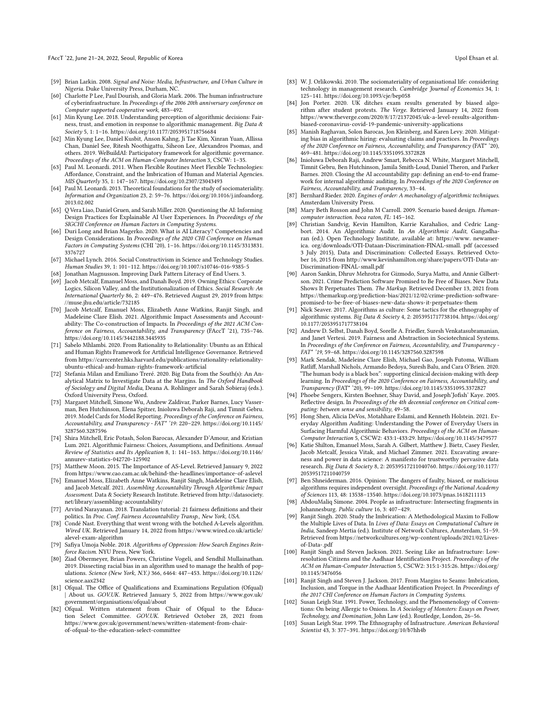#### FAccT '22, June 21–24, 2022, Seoul, Republic of Korea Upol Ehsan et al. November 2022, Seoul, Republic of Korea

- <span id="page-11-23"></span>[59] Brian Larkin. 2008. Signal and Noise: Media, Infrastructure, and Urban Culture in Nigeria. Duke University Press, Durham, NC.
- <span id="page-11-36"></span>[60] Charlotte P Lee, Paul Dourish, and Gloria Mark. 2006. The human infrastructure of cyberinfrastructure. In Proceedings of the 2006 20th anniversary conference on Computer supported cooperative work, 483–492.
- <span id="page-11-32"></span>[61] Min Kyung Lee. 2018. Understanding perception of algorithmic decisions: Fairness, trust, and emotion in response to algorithmic management. Big Data & Society 5, 1: 1–16.<https://doi.org/10.1177/2053951718756684>
- <span id="page-11-6"></span>[62] Min Kyung Lee, Daniel Kusbit, Anson Kahng, Ji Tae Kim, Xinran Yuan, Allissa Chan, Daniel See, Ritesh Noothigattu, Siheon Lee, Alexandros Psomas, and others. 2019. WeBuildAI: Participatory framework for algorithmic governance. Proceedings of the ACM on Human-Computer Interaction 3, CSCW: 1–35.
- <span id="page-11-20"></span>[63] Paul M. Leonardi. 2011. When Flexible Routines Meet Flexible Technologies: Affordance, Constraint, and the Imbrication of Human and Material Agencies. MIS Quarterly 35, 1: 147–167.<https://doi.org/10.2307/23043493>
- <span id="page-11-18"></span>[64] Paul M. Leonardi. 2013. Theoretical foundations for the study of sociomateriality. Information and Organization 23, 2: 59–76. [https://doi.org/10.1016/j.infoandorg.](https://doi.org/10.1016/j.infoandorg.2013.02.002) [2013.02.002](https://doi.org/10.1016/j.infoandorg.2013.02.002)
- <span id="page-11-28"></span>[65] Q Vera Liao, Daniel Gruen, and Sarah Miller. 2020. Questioning the AI: Informing Design Practices for Explainable AI User Experiences. In Proceedings of the SIGCHI Conference on Human Factors in Computing Systems.
- <span id="page-11-41"></span>[66] Duri Long and Brian Magerko. 2020. What is AI Literacy? Competencies and Design Considerations. In Proceedings of the 2020 CHI Conference on Human Factors in Computing Systems (CHI '20), 1–16. [https://doi.org/10.1145/3313831.](https://doi.org/10.1145/3313831.3376727) [3376727](https://doi.org/10.1145/3313831.3376727)
- <span id="page-11-34"></span>[67] Michael Lynch. 2016. Social Constructivism in Science and Technology Studies. Human Studies 39, 1: 101–112.<https://doi.org/10.1007/s10746-016-9385-5>
- <span id="page-11-42"></span>[68] Jonathan Magnusson. Improving Dark Pattern Literacy of End Users. 3.<br>[69] Jacob Metcalf. Emanuel Moss. and Danah Boyd. 2019. Owning Ethics: Cor
- <span id="page-11-12"></span>Jacob Metcalf, Emanuel Moss, and Danah Boyd. 2019. Owning Ethics: Corporate Logics, Silicon Valley, and the Institutionalization of Ethics. Social Research: An International Quarterly 86, 2: 449–476. Retrieved August 29, 2019 from [https:](https://muse.jhu.edu/article/732185) [//muse.jhu.edu/article/732185](https://muse.jhu.edu/article/732185)
- <span id="page-11-35"></span>[70] Jacob Metcalf, Emanuel Moss, Elizabeth Anne Watkins, Ranjit Singh, and Madeleine Clare Elish. 2021. Algorithmic Impact Assessments and Accountability: The Co-construction of Impacts. In Proceedings of the 2021 ACM Conference on Fairness, Accountability, and Transparency (FAccT '21), 735–746. <https://doi.org/10.1145/3442188.3445935>
- <span id="page-11-17"></span>[71] Sabelo Mhlambi. 2020. From Rationality to Relationality: Ubuntu as an Ethical and Human Rights Framework for Artificial Intelligence Governance. Retrieved from [https://carrcenter.hks.harvard.edu/publications/rationality-relationality](https://carrcenter.hks.harvard.edu/publications/rationality-relationality-ubuntu-ethical-and-human-rights-framework-artificial)[ubuntu-ethical-and-human-rights-framework-artificial](https://carrcenter.hks.harvard.edu/publications/rationality-relationality-ubuntu-ethical-and-human-rights-framework-artificial)
- <span id="page-11-27"></span>[72] Stefania Milan and Emiliano Treré. 2020. Big Data from the South(s): An Analytical Matrix to Investigate Data at the Margins. In The Oxford Handbook of Sociology and Digital Media, Deana A. Rohlinger and Sarah Sobieraj (eds.). Oxford University Press, Oxford.
- <span id="page-11-9"></span>[73] Margaret Mitchell, Simone Wu, Andrew Zaldivar, Parker Barnes, Lucy Vasserman, Ben Hutchinson, Elena Spitzer, Inioluwa Deborah Raji, and Timnit Gebru. 2019. Model Cards for Model Reporting. Proceedings of the Conference on Fairness, Accountability, and Transparency - FAT\* '19: 220–229. [https://doi.org/10.1145/](https://doi.org/10.1145/3287560.3287596) [3287560.3287596](https://doi.org/10.1145/3287560.3287596)
- <span id="page-11-25"></span>[74] Shira Mitchell, Eric Potash, Solon Barocas, Alexander D'Amour, and Kristian Lum. 2021. Algorithmic Fairness: Choices, Assumptions, and Definitions. Annual Review of Statistics and Its Application 8, 1: 141–163. [https://doi.org/10.1146/](https://doi.org/10.1146/annurev-statistics-042720-125902) [annurev-statistics-042720-125902](https://doi.org/10.1146/annurev-statistics-042720-125902)
- <span id="page-11-33"></span>[75] Matthew Moon. 2015. The Importance of AS-Level. Retrieved January 9, 2022 from<https://www.cao.cam.ac.uk/behind-the-headlines/importance-of-aslevel>
- <span id="page-11-1"></span>[76] Emanuel Moss, Elizabeth Anne Watkins, Ranjit Singh, Madeleine Clare Elish, and Jacob Metcalf. 2021. Assembling Accountability Through Algorithmic Impact Assessment. Data & Society Research Institute. Retrieved from [http://datasociety.](http://datasociety.net/library/assembling-accountability/) [net/library/assembling-accountability/](http://datasociety.net/library/assembling-accountability/)
- <span id="page-11-11"></span>[77] Arvind Narayanan. 2018. Translation tutorial: 21 fairness definitions and their politics. In Proc. Conf. Fairness Accountability Transp., New York, USA.
- <span id="page-11-5"></span>[78] Condé Nast. Everything that went wrong with the botched A-Levels algorithm. Wired UK. Retrieved January 14, 2022 from [https://www.wired.co.uk/article/](https://www.wired.co.uk/article/alevel-exam-algorithm) [alevel-exam-algorithm](https://www.wired.co.uk/article/alevel-exam-algorithm)
- <span id="page-11-15"></span>[79] Safiya Umoja Noble. 2018. Algorithms of Oppression: How Search Engines Reinforce Racism. NYU Press, New York.
- <span id="page-11-10"></span>[80] Ziad Obermeyer, Brian Powers, Christine Vogeli, and Sendhil Mullainathan. 2019. Dissecting racial bias in an algorithm used to manage the health of populations. Science (New York, N.Y.) 366, 6464: 447–453. [https://doi.org/10.1126/](https://doi.org/10.1126/science.aax2342) [science.aax2342](https://doi.org/10.1126/science.aax2342)
- <span id="page-11-2"></span>[81] Ofqual. The Office of Qualifications and Examinations Regulation (Ofqual) | About us. GOV.UK. Retrieved January 5, 2022 from [https://www.gov.uk/](https://www.gov.uk/government/organisations/ofqual/about) [government/organisations/ofqual/about](https://www.gov.uk/government/organisations/ofqual/about)
- <span id="page-11-4"></span>[82] Ofqual. Written statement from Chair of Ofqual to the Education Select Committee. GOV.UK. Retrieved October 28, 2021 from [https://www.gov.uk/government/news/written-statement-from-chair](https://www.gov.uk/government/news/written-statement-from-chair-of-ofqual-to-the-education-select-committee)[of-ofqual-to-the-education-select-committee](https://www.gov.uk/government/news/written-statement-from-chair-of-ofqual-to-the-education-select-committee)
- <span id="page-11-21"></span>[83] W. J. Orlikowski. 2010. The sociomateriality of organisational life: considering technology in management research. Cambridge Journal of Economics 34, 1: 125–141.<https://doi.org/10.1093/cje/bep058>
- <span id="page-11-3"></span>[84] Jon Porter. 2020. UK ditches exam results generated by biased algorithm after student protests. The Verge. Retrieved January 14, 2022 from [https://www.theverge.com/2020/8/17/21372045/uk-a-level-results-algorithm](https://www.theverge.com/2020/8/17/21372045/uk-a-level-results-algorithm-biased-coronavirus-covid-19-pandemic-university-applications)[biased-coronavirus-covid-19-pandemic-university-applications](https://www.theverge.com/2020/8/17/21372045/uk-a-level-results-algorithm-biased-coronavirus-covid-19-pandemic-university-applications)
- <span id="page-11-13"></span>[85] Manish Raghavan, Solon Barocas, Jon Kleinberg, and Karen Levy. 2020. Mitigating bias in algorithmic hiring: evaluating claims and practices. In Proceedings of the 2020 Conference on Fairness, Accountability, and Transparency (FAT\* '20), 469–481.<https://doi.org/10.1145/3351095.3372828>
- <span id="page-11-0"></span>[86] Inioluwa Deborah Raji, Andrew Smart, Rebecca N. White, Margaret Mitchell, Timnit Gebru, Ben Hutchinson, Jamila Smith-Loud, Daniel Theron, and Parker Barnes. 2020. Closing the AI accountability gap: defining an end-to-end framework for internal algorithmic auditing. In Proceedings of the 2020 Conference on Fairness, Accountability, and Transparency, 33–44.
- <span id="page-11-38"></span>[87] Bernhard Rieder. 2020. Engines of order: A mechanology of algorithmic techniques. Amsterdam University Press.
- <span id="page-11-39"></span>[88] Mary Beth Rosson and John M Carroll. 2009. Scenario based design. Humancomputer interaction. boca raton, FL: 145–162.
- <span id="page-11-29"></span>[89] Christian Sandvig, Kevin Hamilton, Karrie Karahalios, and Cedric Langbort. 2014. An Algorithmic Audit. In An Algorithmic Audit, Gangadharan (ed.). Open Technology Institute, available at: [https://www.](https://www) newamerica. org/downloads/OTI-Dataan-Discrimination-FINAL-small. pdf (accessed 3 July 2015), Data and Discrimination: Collected Essays. Retrieved October 16, 2015 from [http://www.kevinhamilton.org/share/papers/OTI-Data-an-](http://www.kevinhamilton.org/share/papers/OTI-Data-an-Discrimination-FINAL-small.pdf)[Discrimination-FINAL-small.pdf](http://www.kevinhamilton.org/share/papers/OTI-Data-an-Discrimination-FINAL-small.pdf)
- <span id="page-11-16"></span>[90] Aaron Sankin, Dhruv Mehrotra for Gizmodo, Surya Mattu, and Annie Gilbertson. 2021. Crime Prediction Software Promised to Be Free of Biases. New Data Shows It Perpetuates Them. The Markup. Retrieved December 13, 2021 from [https://themarkup.org/prediction-bias/2021/12/02/crime-prediction-software](https://themarkup.org/prediction-bias/2021/12/02/crime-prediction-software-promised-to-be-free-of-biases-new-data-shows-it-perpetuates-them)[promised-to-be-free-of-biases-new-data-shows-it-perpetuates-them](https://themarkup.org/prediction-bias/2021/12/02/crime-prediction-software-promised-to-be-free-of-biases-new-data-shows-it-perpetuates-them)
- <span id="page-11-8"></span>[91] Nick Seaver. 2017. Algorithms as culture: Some tactics for the ethnography of algorithmic systems. Big Data & Society 4, 2: 2053951717738104. [https://doi.org/](https://doi.org/10.1177/2053951717738104) [10.1177/2053951717738104](https://doi.org/10.1177/2053951717738104)
- <span id="page-11-26"></span>[92] Andrew D. Selbst, Danah Boyd, Sorelle A. Friedler, Suresh Venkatasubramanian, and Janet Vertesi. 2019. Fairness and Abstraction in Sociotechnical Systems. In Proceedings of the Conference on Fairness, Accountability, and Transparency - FAT\* '19, 59–68.<https://doi.org/10.1145/3287560.3287598>
- <span id="page-11-14"></span>[93] Mark Sendak, Madeleine Clare Elish, Michael Gao, Joseph Futoma, William Ratliff, Marshall Nichols, Armando Bedoya, Suresh Balu, and Cara O'Brien. 2020. "The human body is a black box": supporting clinical decision-making with deep learning. In Proceedings of the 2020 Conference on Fairness, Accountability, and Transparency (FAT\* '20), 99–109.<https://doi.org/10.1145/3351095.3372827>
- <span id="page-11-40"></span>[94] Phoebe Sengers, Kirsten Boehner, Shay David, and Joseph'Jofish' Kaye. 2005. Reflective design. In Proceedings of the 4th decennial conference on Critical computing: between sense and sensibility, 49–58.
- <span id="page-11-31"></span>[95] Hong Shen, Alicia DeVos, Motahhare Eslami, and Kenneth Holstein. 2021. Everyday Algorithm Auditing: Understanding the Power of Everyday Users in Surfacing Harmful Algorithmic Behaviors. Proceedings of the ACM on Human-Computer Interaction 5, CSCW2: 433:1-433:29.<https://doi.org/10.1145/3479577>
- <span id="page-11-43"></span>[96] Katie Shilton, Emanuel Moss, Sarah A. Gilbert, Matthew J. Bietz, Casey Fiesler, Jacob Metcalf, Jessica Vitak, and Michael Zimmer. 2021. Excavating awareness and power in data science: A manifesto for trustworthy pervasive data research. Big Data & Society 8, 2: 20539517211040760. [https://doi.org/10.1177/](https://doi.org/10.1177/20539517211040759) [20539517211040759](https://doi.org/10.1177/20539517211040759)
- <span id="page-11-30"></span>[97] Ben Shneiderman. 2016. Opinion: The dangers of faulty, biased, or malicious algorithms requires independent oversight. Proceedings of the National Academy of Sciences 113, 48: 13538–13540.<https://doi.org/10.1073/pnas.1618211113>
- <span id="page-11-37"></span>[98] AbdouMaliq Simone. 2004. People as infrastructure: Intersecting fragments in Johannesburg. Public culture 16, 3: 407–429.
- [99] Ranjit Singh. 2020. Study the Imbrication: A Methodological Maxim to Follow the Multiple Lives of Data. In Lives of Data: Essays on Computational Culture in India, Sandeep Mertia (ed.). Institute of Network Cultures, Amsterdam, 51–59. Retrieved from [https://networkcultures.org/wp-content/uploads/2021/02/Lives](https://networkcultures.org/wp-content/uploads/2021/02/Lives-of-Data-.pdf)[of-Data-.pdf](https://networkcultures.org/wp-content/uploads/2021/02/Lives-of-Data-.pdf)
- <span id="page-11-22"></span>[100] Ranjit Singh and Steven Jackson. 2021. Seeing Like an Infrastructure: Lowresolution Citizens and the Aadhaar Identification Project. Proceedings of the ACM on Human-Computer Interaction 5, CSCW2: 315:1-315:26. [https://doi.org/](https://doi.org/10.1145/3476056) [10.1145/3476056](https://doi.org/10.1145/3476056)
- <span id="page-11-19"></span>[101] Ranjit Singh and Steven J. Jackson. 2017. From Margins to Seams: Imbrication, Inclusion, and Torque in the Aadhaar Identification Project. In Proceedings of the 2017 CHI Conference on Human Factors in Computing Systems.
- <span id="page-11-24"></span>[102] Susan Leigh Star. 1991. Power, Technology, and the Phenomenology of Conventions: On being Allergic to Onions. In A Sociology of Monsters: Essays on Power, Technology, and Domination, John Law (ed.). Routledge, London, 26–56.
- <span id="page-11-7"></span>[103] Susan Leigh Star. 1999. The Ethnography of Infrastructure. American Behavioral Scientist 43, 3: 377–391.<https://doi.org/10/b7hh4b>